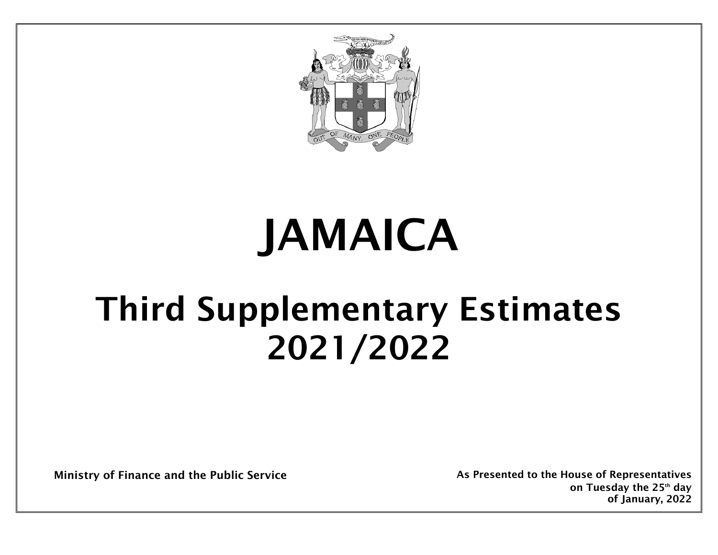

# JAMAICA

# Third Supplementary Estimates 2021/2022

Ministry of Finance and the Public Service As As Presented to the House of Representatives

on Tuesday the 25<sup>th</sup> day of January, 2022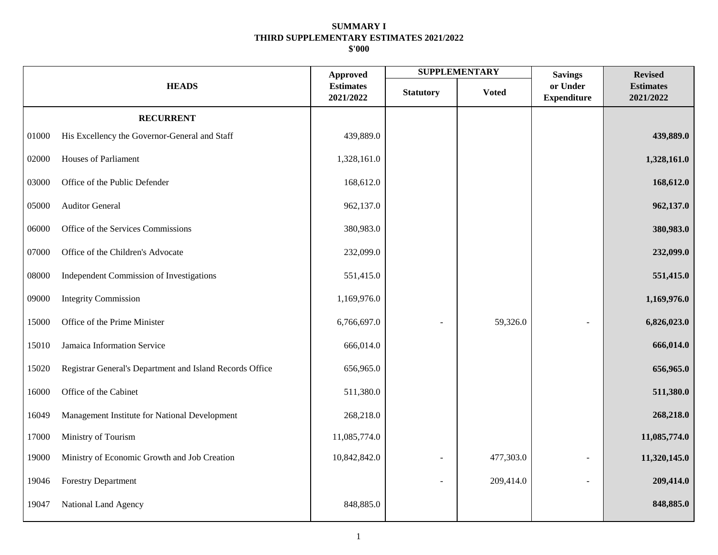|       |                                                          |                                                  |                  | <b>SUPPLEMENTARY</b> | <b>Savings</b>                 | <b>Revised</b>                |
|-------|----------------------------------------------------------|--------------------------------------------------|------------------|----------------------|--------------------------------|-------------------------------|
|       | <b>HEADS</b>                                             | <b>Approved</b><br><b>Estimates</b><br>2021/2022 | <b>Statutory</b> | <b>Voted</b>         | or Under<br><b>Expenditure</b> | <b>Estimates</b><br>2021/2022 |
|       | <b>RECURRENT</b>                                         |                                                  |                  |                      |                                |                               |
| 01000 | His Excellency the Governor-General and Staff            | 439,889.0                                        |                  |                      |                                | 439,889.0                     |
| 02000 | Houses of Parliament                                     | 1,328,161.0                                      |                  |                      |                                | 1,328,161.0                   |
| 03000 | Office of the Public Defender                            | 168,612.0                                        |                  |                      |                                | 168,612.0                     |
| 05000 | <b>Auditor General</b>                                   | 962,137.0                                        |                  |                      |                                | 962,137.0                     |
| 06000 | Office of the Services Commissions                       | 380,983.0                                        |                  |                      |                                | 380,983.0                     |
| 07000 | Office of the Children's Advocate                        | 232,099.0                                        |                  |                      |                                | 232,099.0                     |
| 08000 | Independent Commission of Investigations                 | 551,415.0                                        |                  |                      |                                | 551,415.0                     |
| 09000 | <b>Integrity Commission</b>                              | 1,169,976.0                                      |                  |                      |                                | 1,169,976.0                   |
| 15000 | Office of the Prime Minister                             | 6,766,697.0                                      |                  | 59,326.0             |                                | 6,826,023.0                   |
| 15010 | Jamaica Information Service                              | 666,014.0                                        |                  |                      |                                | 666,014.0                     |
| 15020 | Registrar General's Department and Island Records Office | 656,965.0                                        |                  |                      |                                | 656,965.0                     |
| 16000 | Office of the Cabinet                                    | 511,380.0                                        |                  |                      |                                | 511,380.0                     |
| 16049 | Management Institute for National Development            | 268,218.0                                        |                  |                      |                                | 268,218.0                     |
| 17000 | Ministry of Tourism                                      | 11,085,774.0                                     |                  |                      |                                | 11,085,774.0                  |
| 19000 | Ministry of Economic Growth and Job Creation             | 10,842,842.0                                     |                  | 477,303.0            |                                | 11,320,145.0                  |
| 19046 | <b>Forestry Department</b>                               |                                                  |                  | 209,414.0            |                                | 209,414.0                     |
| 19047 | National Land Agency                                     | 848,885.0                                        |                  |                      |                                | 848,885.0                     |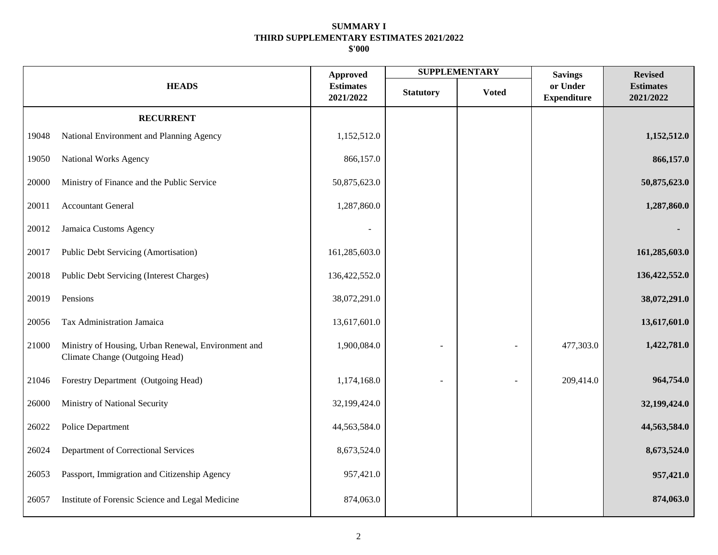|       |                                                                                       | <b>Approved</b>               |                  | <b>SUPPLEMENTARY</b> | <b>Savings</b>                 | <b>Revised</b>                |
|-------|---------------------------------------------------------------------------------------|-------------------------------|------------------|----------------------|--------------------------------|-------------------------------|
|       | <b>HEADS</b>                                                                          | <b>Estimates</b><br>2021/2022 | <b>Statutory</b> | <b>Voted</b>         | or Under<br><b>Expenditure</b> | <b>Estimates</b><br>2021/2022 |
|       | <b>RECURRENT</b>                                                                      |                               |                  |                      |                                |                               |
| 19048 | National Environment and Planning Agency                                              | 1,152,512.0                   |                  |                      |                                | 1,152,512.0                   |
| 19050 | National Works Agency                                                                 | 866,157.0                     |                  |                      |                                | 866,157.0                     |
| 20000 | Ministry of Finance and the Public Service                                            | 50,875,623.0                  |                  |                      |                                | 50,875,623.0                  |
| 20011 | <b>Accountant General</b>                                                             | 1,287,860.0                   |                  |                      |                                | 1,287,860.0                   |
| 20012 | Jamaica Customs Agency                                                                |                               |                  |                      |                                |                               |
| 20017 | Public Debt Servicing (Amortisation)                                                  | 161,285,603.0                 |                  |                      |                                | 161,285,603.0                 |
| 20018 | Public Debt Servicing (Interest Charges)                                              | 136,422,552.0                 |                  |                      |                                | 136,422,552.0                 |
| 20019 | Pensions                                                                              | 38,072,291.0                  |                  |                      |                                | 38,072,291.0                  |
| 20056 | Tax Administration Jamaica                                                            | 13,617,601.0                  |                  |                      |                                | 13,617,601.0                  |
| 21000 | Ministry of Housing, Urban Renewal, Environment and<br>Climate Change (Outgoing Head) | 1,900,084.0                   |                  |                      | 477,303.0                      | 1,422,781.0                   |
| 21046 | Forestry Department (Outgoing Head)                                                   | 1,174,168.0                   |                  |                      | 209,414.0                      | 964,754.0                     |
| 26000 | Ministry of National Security                                                         | 32,199,424.0                  |                  |                      |                                | 32,199,424.0                  |
| 26022 | Police Department                                                                     | 44,563,584.0                  |                  |                      |                                | 44,563,584.0                  |
| 26024 | Department of Correctional Services                                                   | 8,673,524.0                   |                  |                      |                                | 8,673,524.0                   |
| 26053 | Passport, Immigration and Citizenship Agency                                          | 957,421.0                     |                  |                      |                                | 957,421.0                     |
| 26057 | Institute of Forensic Science and Legal Medicine                                      | 874,063.0                     |                  |                      |                                | 874,063.0                     |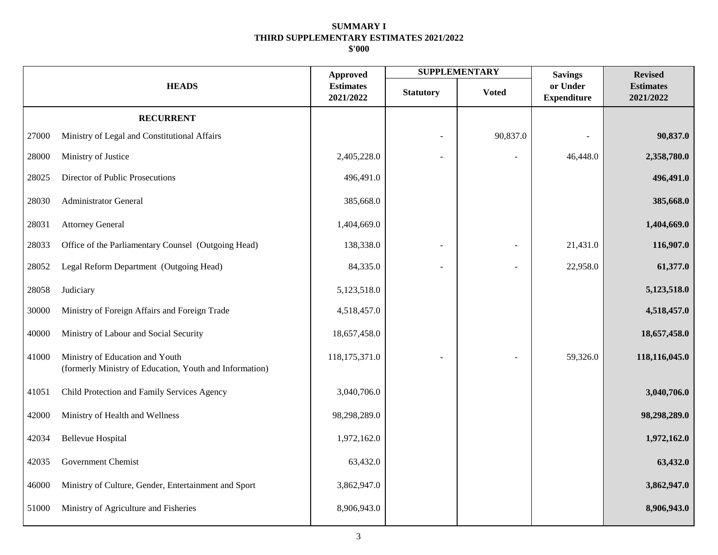|       |                                                                                            | <b>Approved</b>               |                  | <b>SUPPLEMENTARY</b> | <b>Savings</b>                 | <b>Revised</b>                |
|-------|--------------------------------------------------------------------------------------------|-------------------------------|------------------|----------------------|--------------------------------|-------------------------------|
|       | <b>HEADS</b>                                                                               | <b>Estimates</b><br>2021/2022 | <b>Statutory</b> | <b>Voted</b>         | or Under<br><b>Expenditure</b> | <b>Estimates</b><br>2021/2022 |
|       | <b>RECURRENT</b>                                                                           |                               |                  |                      |                                |                               |
| 27000 | Ministry of Legal and Constitutional Affairs                                               |                               | ÷.               | 90,837.0             |                                | 90,837.0                      |
| 28000 | Ministry of Justice                                                                        | 2,405,228.0                   |                  |                      | 46,448.0                       | 2,358,780.0                   |
| 28025 | Director of Public Prosecutions                                                            | 496,491.0                     |                  |                      |                                | 496,491.0                     |
| 28030 | <b>Administrator General</b>                                                               | 385,668.0                     |                  |                      |                                | 385,668.0                     |
| 28031 | <b>Attorney General</b>                                                                    | 1,404,669.0                   |                  |                      |                                | 1,404,669.0                   |
| 28033 | Office of the Parliamentary Counsel (Outgoing Head)                                        | 138,338.0                     |                  |                      | 21,431.0                       | 116,907.0                     |
| 28052 | Legal Reform Department (Outgoing Head)                                                    | 84,335.0                      |                  |                      | 22,958.0                       | 61,377.0                      |
| 28058 | Judiciary                                                                                  | 5,123,518.0                   |                  |                      |                                | 5,123,518.0                   |
| 30000 | Ministry of Foreign Affairs and Foreign Trade                                              | 4,518,457.0                   |                  |                      |                                | 4,518,457.0                   |
| 40000 | Ministry of Labour and Social Security                                                     | 18,657,458.0                  |                  |                      |                                | 18,657,458.0                  |
| 41000 | Ministry of Education and Youth<br>(formerly Ministry of Education, Youth and Information) | 118,175,371.0                 |                  |                      | 59,326.0                       | 118,116,045.0                 |
| 41051 | Child Protection and Family Services Agency                                                | 3,040,706.0                   |                  |                      |                                | 3,040,706.0                   |
| 42000 | Ministry of Health and Wellness                                                            | 98,298,289.0                  |                  |                      |                                | 98,298,289.0                  |
| 42034 | <b>Bellevue Hospital</b>                                                                   | 1,972,162.0                   |                  |                      |                                | 1,972,162.0                   |
| 42035 | Government Chemist                                                                         | 63,432.0                      |                  |                      |                                | 63,432.0                      |
| 46000 | Ministry of Culture, Gender, Entertainment and Sport                                       | 3,862,947.0                   |                  |                      |                                | 3,862,947.0                   |
| 51000 | Ministry of Agriculture and Fisheries                                                      | 8,906,943.0                   |                  |                      |                                | 8,906,943.0                   |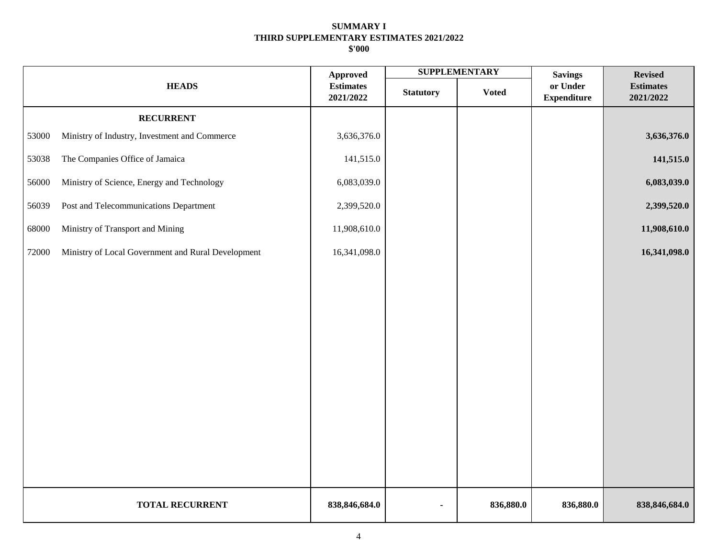|       |                                                    | <b>Approved</b>               |                  | <b>SUPPLEMENTARY</b> | <b>Savings</b>                 | <b>Revised</b>                |
|-------|----------------------------------------------------|-------------------------------|------------------|----------------------|--------------------------------|-------------------------------|
|       | <b>HEADS</b>                                       | <b>Estimates</b><br>2021/2022 | <b>Statutory</b> | <b>Voted</b>         | or Under<br><b>Expenditure</b> | <b>Estimates</b><br>2021/2022 |
|       | <b>RECURRENT</b>                                   |                               |                  |                      |                                |                               |
| 53000 | Ministry of Industry, Investment and Commerce      | 3,636,376.0                   |                  |                      |                                | 3,636,376.0                   |
| 53038 | The Companies Office of Jamaica                    | 141,515.0                     |                  |                      |                                | 141,515.0                     |
| 56000 | Ministry of Science, Energy and Technology         | 6,083,039.0                   |                  |                      |                                | 6,083,039.0                   |
| 56039 | Post and Telecommunications Department             | 2,399,520.0                   |                  |                      |                                | 2,399,520.0                   |
| 68000 | Ministry of Transport and Mining                   | 11,908,610.0                  |                  |                      |                                | 11,908,610.0                  |
| 72000 | Ministry of Local Government and Rural Development | 16,341,098.0                  |                  |                      |                                | 16,341,098.0                  |
|       |                                                    |                               |                  |                      |                                |                               |
|       |                                                    |                               |                  |                      |                                |                               |
|       |                                                    |                               |                  |                      |                                |                               |
|       |                                                    |                               |                  |                      |                                |                               |
|       |                                                    |                               |                  |                      |                                |                               |
|       |                                                    |                               |                  |                      |                                |                               |
|       |                                                    |                               |                  |                      |                                |                               |
|       |                                                    |                               |                  |                      |                                |                               |
|       |                                                    |                               |                  |                      |                                |                               |
|       |                                                    |                               |                  |                      |                                |                               |
|       | <b>TOTAL RECURRENT</b>                             | 838, 846, 684.0               | ٠                | 836,880.0            | 836,880.0                      | 838, 846, 684. 0              |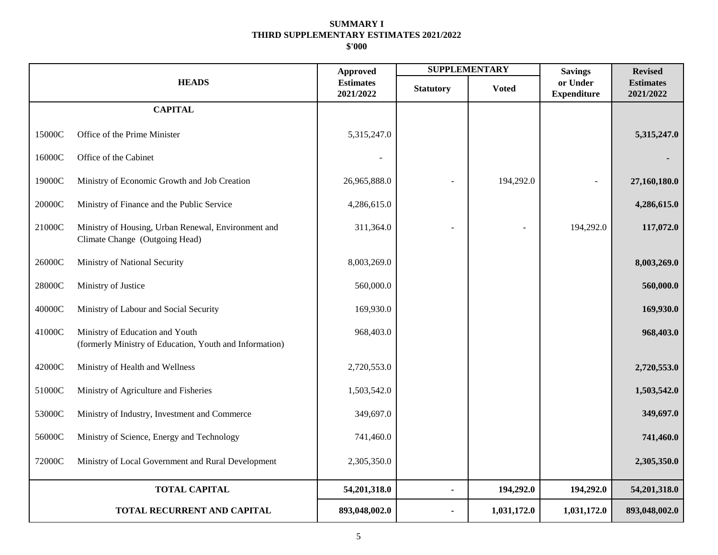|          |                                                                                            | <b>Approved</b>               |                  | <b>SUPPLEMENTARY</b> | <b>Savings</b>                 | <b>Revised</b>                |
|----------|--------------------------------------------------------------------------------------------|-------------------------------|------------------|----------------------|--------------------------------|-------------------------------|
|          | <b>HEADS</b>                                                                               | <b>Estimates</b><br>2021/2022 | <b>Statutory</b> | <b>Voted</b>         | or Under<br><b>Expenditure</b> | <b>Estimates</b><br>2021/2022 |
|          | <b>CAPITAL</b>                                                                             |                               |                  |                      |                                |                               |
| 15000C   | Office of the Prime Minister                                                               | 5,315,247.0                   |                  |                      |                                | 5,315,247.0                   |
| 16000C   | Office of the Cabinet                                                                      |                               |                  |                      |                                |                               |
| 19000C   | Ministry of Economic Growth and Job Creation                                               | 26,965,888.0                  |                  | 194,292.0            |                                | 27,160,180.0                  |
| $20000C$ | Ministry of Finance and the Public Service                                                 | 4,286,615.0                   |                  |                      |                                | 4,286,615.0                   |
| 21000C   | Ministry of Housing, Urban Renewal, Environment and<br>Climate Change (Outgoing Head)      | 311,364.0                     |                  |                      | 194,292.0                      | 117,072.0                     |
| 26000C   | Ministry of National Security                                                              | 8,003,269.0                   |                  |                      |                                | 8,003,269.0                   |
| 28000C   | Ministry of Justice                                                                        | 560,000.0                     |                  |                      |                                | 560,000.0                     |
| 40000C   | Ministry of Labour and Social Security                                                     | 169,930.0                     |                  |                      |                                | 169,930.0                     |
| 41000C   | Ministry of Education and Youth<br>(formerly Ministry of Education, Youth and Information) | 968,403.0                     |                  |                      |                                | 968,403.0                     |
| 42000C   | Ministry of Health and Wellness                                                            | 2,720,553.0                   |                  |                      |                                | 2,720,553.0                   |
| 51000C   | Ministry of Agriculture and Fisheries                                                      | 1,503,542.0                   |                  |                      |                                | 1,503,542.0                   |
| 53000C   | Ministry of Industry, Investment and Commerce                                              | 349,697.0                     |                  |                      |                                | 349,697.0                     |
| 56000C   | Ministry of Science, Energy and Technology                                                 | 741,460.0                     |                  |                      |                                | 741,460.0                     |
| 72000C   | Ministry of Local Government and Rural Development                                         | 2,305,350.0                   |                  |                      |                                | 2,305,350.0                   |
|          | <b>TOTAL CAPITAL</b>                                                                       | 54,201,318.0                  |                  | 194,292.0            | 194,292.0                      | 54,201,318.0                  |
|          | TOTAL RECURRENT AND CAPITAL                                                                | 893,048,002.0                 |                  | 1,031,172.0          | 1,031,172.0                    | 893,048,002.0                 |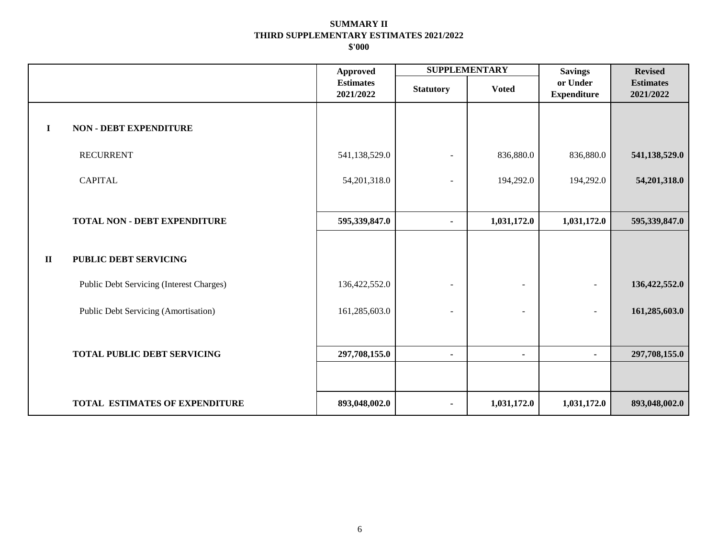|              |                                             | Approved                      | <b>SUPPLEMENTARY</b>     |                          | <b>Savings</b>                 | <b>Revised</b>                |
|--------------|---------------------------------------------|-------------------------------|--------------------------|--------------------------|--------------------------------|-------------------------------|
|              |                                             | <b>Estimates</b><br>2021/2022 | <b>Statutory</b>         | <b>Voted</b>             | or Under<br><b>Expenditure</b> | <b>Estimates</b><br>2021/2022 |
| $\mathbf I$  | <b>NON - DEBT EXPENDITURE</b>               |                               |                          |                          |                                |                               |
|              | <b>RECURRENT</b>                            | 541,138,529.0                 | $\overline{\phantom{a}}$ | 836,880.0                | 836,880.0                      | 541,138,529.0                 |
|              | <b>CAPITAL</b>                              | 54, 201, 318.0                |                          | 194,292.0                | 194,292.0                      | 54, 201, 318.0                |
|              |                                             |                               |                          |                          |                                |                               |
|              | <b>TOTAL NON - DEBT EXPENDITURE</b>         | 595,339,847.0                 | $\blacksquare$           | 1,031,172.0              | 1,031,172.0                    | 595,339,847.0                 |
|              |                                             |                               |                          |                          |                                |                               |
| $\mathbf{I}$ | PUBLIC DEBT SERVICING                       |                               |                          |                          |                                |                               |
|              | Public Debt Servicing (Interest Charges)    | 136,422,552.0                 |                          | ٠                        |                                | 136,422,552.0                 |
|              | <b>Public Debt Servicing (Amortisation)</b> | 161,285,603.0                 |                          | $\overline{\phantom{0}}$ | $\sim$                         | 161,285,603.0                 |
|              |                                             |                               |                          |                          |                                |                               |
|              | <b>TOTAL PUBLIC DEBT SERVICING</b>          | 297,708,155.0                 |                          | ٠                        | $\blacksquare$                 | 297,708,155.0                 |
|              |                                             |                               |                          |                          |                                |                               |
|              | <b>TOTAL ESTIMATES OF EXPENDITURE</b>       | 893,048,002.0                 | $\blacksquare$           | 1,031,172.0              | 1,031,172.0                    | 893,048,002.0                 |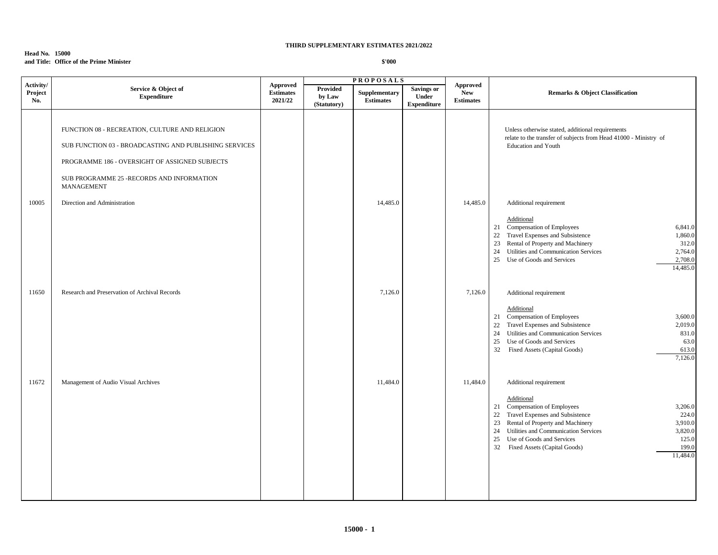#### **Head No. 15000 and Title: Office of the Prime Minister**

|                             |                                                                                                                                                                                                                       |                                         |                                   | <b>PROPOSALS</b>                  |                                                  |                                                   |                                                                                                                                                                                                                                                                                                                                                        |  |
|-----------------------------|-----------------------------------------------------------------------------------------------------------------------------------------------------------------------------------------------------------------------|-----------------------------------------|-----------------------------------|-----------------------------------|--------------------------------------------------|---------------------------------------------------|--------------------------------------------------------------------------------------------------------------------------------------------------------------------------------------------------------------------------------------------------------------------------------------------------------------------------------------------------------|--|
| Activity/<br>Project<br>No. | Service & Object of<br><b>Expenditure</b>                                                                                                                                                                             | Approved<br><b>Estimates</b><br>2021/22 | Provided<br>by Law<br>(Statutory) | Supplementary<br><b>Estimates</b> | <b>Savings or</b><br>Under<br><b>Expenditure</b> | <b>Approved</b><br><b>New</b><br><b>Estimates</b> | <b>Remarks &amp; Object Classification</b>                                                                                                                                                                                                                                                                                                             |  |
|                             | FUNCTION 08 - RECREATION, CULTURE AND RELIGION<br>SUB FUNCTION 03 - BROADCASTING AND PUBLISHING SERVICES<br>PROGRAMME 186 - OVERSIGHT OF ASSIGNED SUBJECTS<br>SUB PROGRAMME 25 -RECORDS AND INFORMATION<br>MANAGEMENT |                                         |                                   |                                   |                                                  |                                                   | Unless otherwise stated, additional requirements<br>relate to the transfer of subjects from Head 41000 - Ministry of<br><b>Education and Youth</b>                                                                                                                                                                                                     |  |
| 10005                       | Direction and Administration                                                                                                                                                                                          |                                         |                                   | 14,485.0                          |                                                  | 14,485.0                                          | Additional requirement<br>Additional<br>Compensation of Employees<br>6,841.0<br>21<br>22<br>Travel Expenses and Subsistence<br>1,860.0<br>Rental of Property and Machinery<br>312.0<br>23<br>Utilities and Communication Services<br>2,764.0<br>24<br>2,708.0<br>25<br>Use of Goods and Services<br>14,485.0                                           |  |
| 11650                       | Research and Preservation of Archival Records                                                                                                                                                                         |                                         |                                   | 7,126.0                           |                                                  | 7,126.0                                           | Additional requirement<br>Additional<br>21 Compensation of Employees<br>3,600.0<br>Travel Expenses and Subsistence<br>22<br>2,019.0<br>24<br>Utilities and Communication Services<br>831.0<br>Use of Goods and Services<br>63.0<br>25<br>32<br>Fixed Assets (Capital Goods)<br>613.0<br>7,126.0                                                        |  |
| 11672                       | Management of Audio Visual Archives                                                                                                                                                                                   |                                         |                                   | 11,484.0                          |                                                  | 11,484.0                                          | Additional requirement<br>Additional<br>21 Compensation of Employees<br>3,206.0<br>Travel Expenses and Subsistence<br>22<br>224.0<br>Rental of Property and Machinery<br>3,910.0<br>23<br>Utilities and Communication Services<br>3,820.0<br>24<br>125.0<br>25<br>Use of Goods and Services<br>32<br>Fixed Assets (Capital Goods)<br>199.0<br>11,484.0 |  |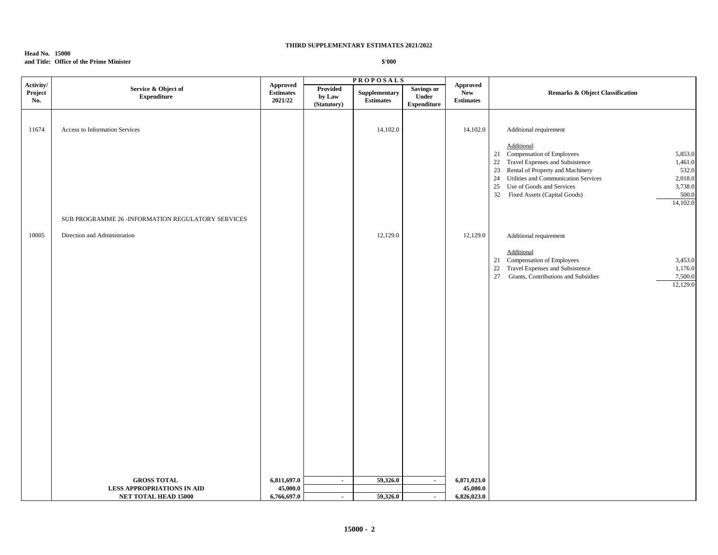#### **Head No. 15000 and Title: Office of the Prime Minister**

| Activity/      |                                                    |                                                |                                   | <b>PROPOSALS</b>                  |                                                  |                                            |                                                                                                                                                                                                                                                                                                                                                    |  |
|----------------|----------------------------------------------------|------------------------------------------------|-----------------------------------|-----------------------------------|--------------------------------------------------|--------------------------------------------|----------------------------------------------------------------------------------------------------------------------------------------------------------------------------------------------------------------------------------------------------------------------------------------------------------------------------------------------------|--|
| Project<br>No. | Service & Object of<br><b>Expenditure</b>          | <b>Approved</b><br><b>Estimates</b><br>2021/22 | Provided<br>by Law<br>(Statutory) | Supplementary<br><b>Estimates</b> | <b>Savings or</b><br>Under<br><b>Expenditure</b> | <b>Approved</b><br>New<br><b>Estimates</b> | <b>Remarks &amp; Object Classification</b>                                                                                                                                                                                                                                                                                                         |  |
| 11674          | Access to Information Services                     |                                                |                                   | 14,102.0                          |                                                  | 14,102.0                                   | Additional requirement<br>Additional<br>21 Compensation of Employees<br>5,853.0<br>22 Travel Expenses and Subsistence<br>1,461.0<br>23 Rental of Property and Machinery<br>532.0<br>2,018.0<br>24<br>Utilities and Communication Services<br>25<br>Use of Goods and Services<br>3,738.0<br>500.0<br>32<br>Fixed Assets (Capital Goods)<br>14,102.0 |  |
|                | SUB PROGRAMME 26 - INFORMATION REGULATORY SERVICES |                                                |                                   |                                   |                                                  |                                            |                                                                                                                                                                                                                                                                                                                                                    |  |
| 10005          | Direction and Administration                       |                                                |                                   | 12,129.0                          |                                                  | 12,129.0                                   | Additional requirement<br>Additional<br>21 Compensation of Employees<br>3,453.0<br>22<br>Travel Expenses and Subsistence<br>1,176.0<br>27<br>Grants, Contributions and Subsidies<br>7,500.0<br>12,129.0                                                                                                                                            |  |
|                | <b>GROSS TOTAL</b>                                 | 6,811,697.0                                    | $\sim$                            | 59,326.0                          | $\sim$                                           | 6,871,023.0                                |                                                                                                                                                                                                                                                                                                                                                    |  |
|                | <b>LESS APPROPRIATIONS IN AID</b>                  | 45,000.0                                       |                                   |                                   |                                                  | 45,000.0                                   |                                                                                                                                                                                                                                                                                                                                                    |  |
|                | <b>NET TOTAL HEAD 15000</b>                        | 6,766,697.0                                    | $\sim$                            | 59,326.0                          | $\sim$                                           | 6,826,023.0                                |                                                                                                                                                                                                                                                                                                                                                    |  |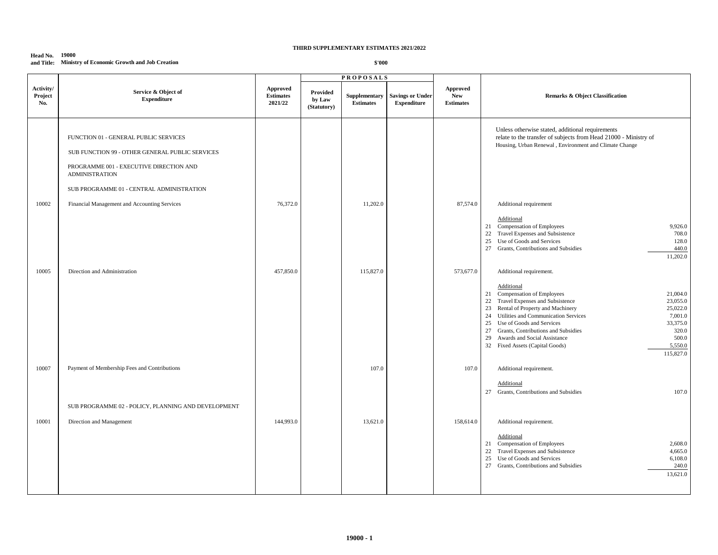#### **Head No. 19000 and Title: Ministry of Economic Growth and Job Creation**

|                             |                                                                                                                                                                                                                                                           |                                         |                                   | <b>PROPOSALS</b>                  |                                               |                                                   |                                                                                                                                                                                                                                                                                                                                                                                                                         |
|-----------------------------|-----------------------------------------------------------------------------------------------------------------------------------------------------------------------------------------------------------------------------------------------------------|-----------------------------------------|-----------------------------------|-----------------------------------|-----------------------------------------------|---------------------------------------------------|-------------------------------------------------------------------------------------------------------------------------------------------------------------------------------------------------------------------------------------------------------------------------------------------------------------------------------------------------------------------------------------------------------------------------|
| Activity/<br>Project<br>No. | Service & Object of<br><b>Expenditure</b>                                                                                                                                                                                                                 | Approved<br><b>Estimates</b><br>2021/22 | Provided<br>by Law<br>(Statutory) | Supplementary<br><b>Estimates</b> | <b>Savings or Under</b><br><b>Expenditure</b> | <b>Approved</b><br><b>New</b><br><b>Estimates</b> | <b>Remarks &amp; Object Classification</b>                                                                                                                                                                                                                                                                                                                                                                              |
| 10002                       | FUNCTION 01 - GENERAL PUBLIC SERVICES<br>SUB FUNCTION 99 - OTHER GENERAL PUBLIC SERVICES<br>PROGRAMME 001 - EXECUTIVE DIRECTION AND<br><b>ADMINISTRATION</b><br>SUB PROGRAMME 01 - CENTRAL ADMINISTRATION<br>Financial Management and Accounting Services | 76,372.0                                |                                   | 11,202.0                          |                                               | 87,574.0                                          | Unless otherwise stated, additional requirements<br>relate to the transfer of subjects from Head 21000 - Ministry of<br>Housing, Urban Renewal, Environment and Climate Change<br>Additional requirement<br>Additional<br>21 Compensation of Employees<br>9,926.0<br>22 Travel Expenses and Subsistence<br>708.0<br>25 Use of Goods and Services<br>128.0                                                               |
| 10005                       | Direction and Administration                                                                                                                                                                                                                              | 457,850.0                               |                                   | 115,827.0                         |                                               | 573,677.0                                         | 27 Grants, Contributions and Subsidies<br>440.0<br>11,202.0<br>Additional requirement.                                                                                                                                                                                                                                                                                                                                  |
|                             |                                                                                                                                                                                                                                                           |                                         |                                   |                                   |                                               |                                                   | Additional<br>21 Compensation of Employees<br>21,004.0<br>22 Travel Expenses and Subsistence<br>23,055.0<br>23 Rental of Property and Machinery<br>25,022.0<br>24 Utilities and Communication Services<br>7,001.0<br>25 Use of Goods and Services<br>33,375.0<br>27 Grants, Contributions and Subsidies<br>320.0<br>29 Awards and Social Assistance<br>500.0<br>32 Fixed Assets (Capital Goods)<br>5,550.0<br>115,827.0 |
| 10007                       | Payment of Membership Fees and Contributions                                                                                                                                                                                                              |                                         |                                   | 107.0                             |                                               | 107.0                                             | Additional requirement.<br>Additional<br>27 Grants, Contributions and Subsidies<br>107.0                                                                                                                                                                                                                                                                                                                                |
|                             | SUB PROGRAMME 02 - POLICY, PLANNING AND DEVELOPMENT                                                                                                                                                                                                       |                                         |                                   |                                   |                                               |                                                   |                                                                                                                                                                                                                                                                                                                                                                                                                         |
| 10001                       | Direction and Management                                                                                                                                                                                                                                  | 144,993.0                               |                                   | 13,621.0                          |                                               | 158,614.0                                         | Additional requirement.<br>Additional<br>21 Compensation of Employees<br>2,608.0<br>22 Travel Expenses and Subsistence<br>4,665.0<br>25 Use of Goods and Services<br>6,108.0<br>27 Grants, Contributions and Subsidies<br>240.0<br>13,621.0                                                                                                                                                                             |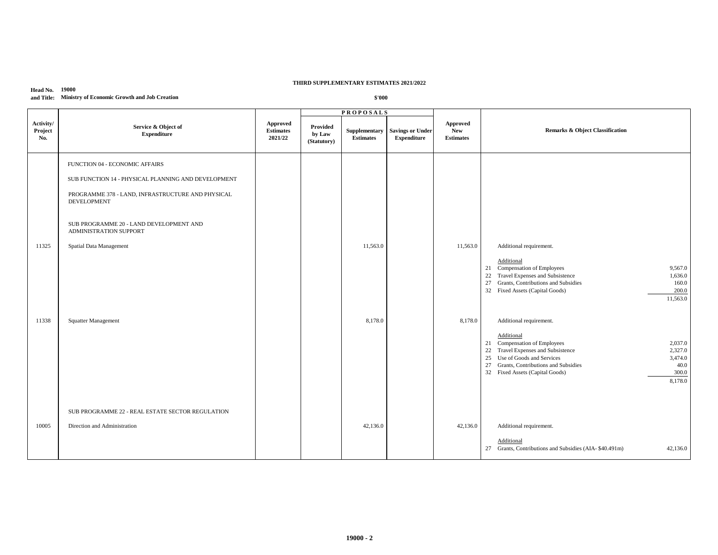#### **Head No. 19000 and Title: Ministry of Economic Growth and Job Creation**

|                             |                                                                                                                                                                                                                                                                                         |                                                |                                   | <b>PROPOSALS</b>                  |                                               |                                            |                                                                                                                                                                                                                                                                                                                                                                                                                                                                                                                                       |
|-----------------------------|-----------------------------------------------------------------------------------------------------------------------------------------------------------------------------------------------------------------------------------------------------------------------------------------|------------------------------------------------|-----------------------------------|-----------------------------------|-----------------------------------------------|--------------------------------------------|---------------------------------------------------------------------------------------------------------------------------------------------------------------------------------------------------------------------------------------------------------------------------------------------------------------------------------------------------------------------------------------------------------------------------------------------------------------------------------------------------------------------------------------|
| Activity/<br>Project<br>No. | Service & Object of<br><b>Expenditure</b>                                                                                                                                                                                                                                               | <b>Approved</b><br><b>Estimates</b><br>2021/22 | Provided<br>by Law<br>(Statutory) | Supplementary<br><b>Estimates</b> | <b>Savings or Under</b><br><b>Expenditure</b> | Approved<br><b>New</b><br><b>Estimates</b> | <b>Remarks &amp; Object Classification</b>                                                                                                                                                                                                                                                                                                                                                                                                                                                                                            |
| 11325<br>11338              | FUNCTION 04 - ECONOMIC AFFAIRS<br>SUB FUNCTION 14 - PHYSICAL PLANNING AND DEVELOPMENT<br>PROGRAMME 378 - LAND, INFRASTRUCTURE AND PHYSICAL<br><b>DEVELOPMENT</b><br>SUB PROGRAMME 20 - LAND DEVELOPMENT AND<br>ADMINISTRATION SUPPORT<br>Spatial Data Management<br>Squatter Management |                                                |                                   | 11,563.0<br>8,178.0               |                                               | 11,563.0<br>8,178.0                        | Additional requirement.<br>Additional<br>21 Compensation of Employees<br>9,567.0<br>22 Travel Expenses and Subsistence<br>1,636.0<br>27 Grants, Contributions and Subsidies<br>160.0<br>32 Fixed Assets (Capital Goods)<br>200.0<br>11,563.0<br>Additional requirement.<br>Additional<br>21 Compensation of Employees<br>2,037.0<br>22 Travel Expenses and Subsistence<br>2,327.0<br>25 Use of Goods and Services<br>3,474.0<br>27 Grants, Contributions and Subsidies<br>40.0<br>32 Fixed Assets (Capital Goods)<br>300.0<br>8,178.0 |
|                             | SUB PROGRAMME 22 - REAL ESTATE SECTOR REGULATION                                                                                                                                                                                                                                        |                                                |                                   |                                   |                                               |                                            |                                                                                                                                                                                                                                                                                                                                                                                                                                                                                                                                       |
| 10005                       | Direction and Administration                                                                                                                                                                                                                                                            |                                                |                                   | 42,136.0                          |                                               | 42,136.0                                   | Additional requirement.                                                                                                                                                                                                                                                                                                                                                                                                                                                                                                               |
|                             |                                                                                                                                                                                                                                                                                         |                                                |                                   |                                   |                                               |                                            | Additional<br>27 Grants, Contributions and Subsidies (AIA-\$40.491m)<br>42,136.0                                                                                                                                                                                                                                                                                                                                                                                                                                                      |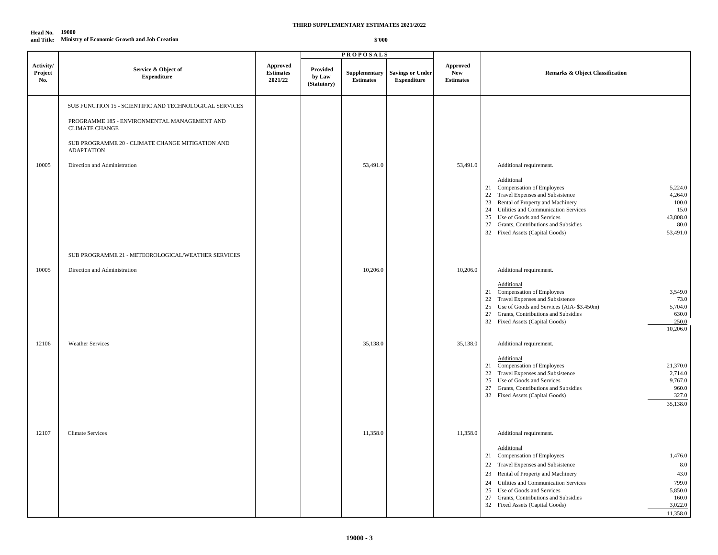#### **Head No. 19000 and Title: Ministry of Economic Growth and Job Creation**

|                             |                                                                                                                                                                                                                                           |                                                             |                                   | <b>PROPOSALS</b>                                  |                                               |                                            |                                                                                                                                                                                                                                                                                                                                                                                              |
|-----------------------------|-------------------------------------------------------------------------------------------------------------------------------------------------------------------------------------------------------------------------------------------|-------------------------------------------------------------|-----------------------------------|---------------------------------------------------|-----------------------------------------------|--------------------------------------------|----------------------------------------------------------------------------------------------------------------------------------------------------------------------------------------------------------------------------------------------------------------------------------------------------------------------------------------------------------------------------------------------|
| Activity/<br>Project<br>No. | Service & Object of<br><b>Expenditure</b>                                                                                                                                                                                                 | ${\Large\bf\large Appendix}$<br><b>Estimates</b><br>2021/22 | Provided<br>by Law<br>(Statutory) | Supplementary<br>$\label{1.1} \textbf{Estimates}$ | <b>Savings or Under</b><br><b>Expenditure</b> | Approved<br><b>New</b><br><b>Estimates</b> | <b>Remarks &amp; Object Classification</b>                                                                                                                                                                                                                                                                                                                                                   |
| 10005                       | SUB FUNCTION 15 - SCIENTIFIC AND TECHNOLOGICAL SERVICES<br>PROGRAMME 185 - ENVIRONMENTAL MANAGEMENT AND<br><b>CLIMATE CHANGE</b><br>SUB PROGRAMME 20 - CLIMATE CHANGE MITIGATION AND<br><b>ADAPTATION</b><br>Direction and Administration |                                                             |                                   | 53,491.0                                          |                                               | 53,491.0                                   | Additional requirement.<br>Additional<br>5,224.0<br>21 Compensation of Employees<br>22 Travel Expenses and Subsistence<br>4,264.0<br>23 Rental of Property and Machinery<br>100.0<br>24 Utilities and Communication Services<br>15.0<br>25 Use of Goods and Services<br>43,808.0<br>27 Grants, Contributions and Subsidies<br>80.0<br>32 Fixed Assets (Capital Goods)<br>53,491.0            |
| 10005                       | SUB PROGRAMME 21 - METEOROLOGICAL/WEATHER SERVICES<br>Direction and Administration                                                                                                                                                        |                                                             |                                   | 10,206.0                                          |                                               | 10,206.0                                   | Additional requirement.<br>Additional<br>21 Compensation of Employees<br>3,549.0<br>22 Travel Expenses and Subsistence<br>73.0<br>25 Use of Goods and Services (AIA-\$3.450m)<br>5,704.0<br>27 Grants, Contributions and Subsidies<br>630.0<br>32 Fixed Assets (Capital Goods)<br>250.0<br>10,206.0                                                                                          |
| 12106                       | <b>Weather Services</b>                                                                                                                                                                                                                   |                                                             |                                   | 35,138.0                                          |                                               | 35,138.0                                   | Additional requirement.<br>Additional<br>21 Compensation of Employees<br>21,370.0<br>22 Travel Expenses and Subsistence<br>2,714.0<br>25 Use of Goods and Services<br>9,767.0<br>27 Grants, Contributions and Subsidies<br>960.0<br>32 Fixed Assets (Capital Goods)<br>327.0<br>35,138.0                                                                                                     |
| 12107                       | <b>Climate Services</b>                                                                                                                                                                                                                   |                                                             |                                   | 11,358.0                                          |                                               | 11,358.0                                   | Additional requirement.<br>Additional<br>21 Compensation of Employees<br>1,476.0<br>$8.0\,$<br>22 Travel Expenses and Subsistence<br>23 Rental of Property and Machinery<br>43.0<br>799.0<br>24 Utilities and Communication Services<br>25 Use of Goods and Services<br>5,850.0<br>27 Grants, Contributions and Subsidies<br>160.0<br>3,022.0<br>32 Fixed Assets (Capital Goods)<br>11.358.0 |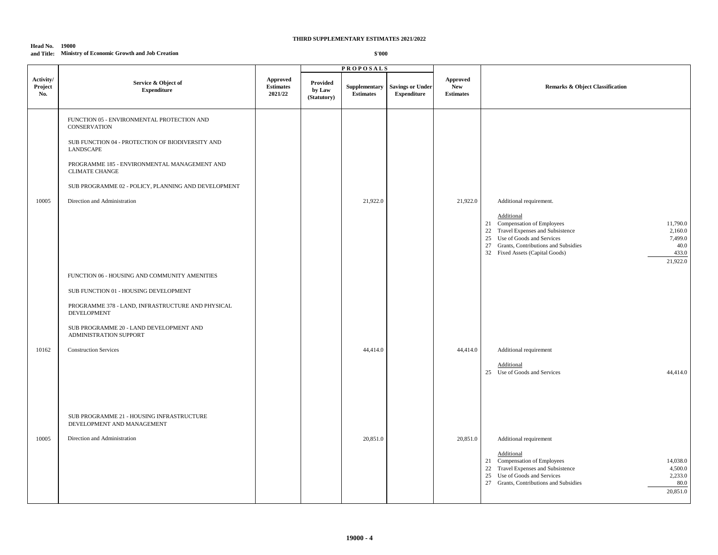#### **Head No. 19000 and Title: Ministry of Economic Growth and Job Creation**

|                             |                                                                         |                                                |                                   | <b>PROPOSALS</b>                  |                                               |                                            |                                                                                                                                                                                                                                                                     |
|-----------------------------|-------------------------------------------------------------------------|------------------------------------------------|-----------------------------------|-----------------------------------|-----------------------------------------------|--------------------------------------------|---------------------------------------------------------------------------------------------------------------------------------------------------------------------------------------------------------------------------------------------------------------------|
| Activity/<br>Project<br>No. | Service & Object of<br><b>Expenditure</b>                               | <b>Approved</b><br><b>Estimates</b><br>2021/22 | Provided<br>by Law<br>(Statutory) | Supplementary<br><b>Estimates</b> | <b>Savings or Under</b><br><b>Expenditure</b> | Approved<br><b>New</b><br><b>Estimates</b> | <b>Remarks &amp; Object Classification</b>                                                                                                                                                                                                                          |
|                             | FUNCTION 05 - ENVIRONMENTAL PROTECTION AND<br><b>CONSERVATION</b>       |                                                |                                   |                                   |                                               |                                            |                                                                                                                                                                                                                                                                     |
|                             | SUB FUNCTION 04 - PROTECTION OF BIODIVERSITY AND<br>LANDSCAPE           |                                                |                                   |                                   |                                               |                                            |                                                                                                                                                                                                                                                                     |
|                             | PROGRAMME 185 - ENVIRONMENTAL MANAGEMENT AND<br><b>CLIMATE CHANGE</b>   |                                                |                                   |                                   |                                               |                                            |                                                                                                                                                                                                                                                                     |
|                             | SUB PROGRAMME 02 - POLICY, PLANNING AND DEVELOPMENT                     |                                                |                                   |                                   |                                               |                                            |                                                                                                                                                                                                                                                                     |
| 10005                       | Direction and Administration                                            |                                                |                                   | 21,922.0                          |                                               | 21,922.0                                   | Additional requirement.                                                                                                                                                                                                                                             |
|                             |                                                                         |                                                |                                   |                                   |                                               |                                            | <b>Additional</b><br>21 Compensation of Employees<br>11,790.0<br>22 Travel Expenses and Subsistence<br>2,160.0<br>25 Use of Goods and Services<br>7,499.0<br>27 Grants, Contributions and Subsidies<br>40.0<br>433.0<br>32 Fixed Assets (Capital Goods)<br>21,922.0 |
|                             | FUNCTION 06 - HOUSING AND COMMUNITY AMENITIES                           |                                                |                                   |                                   |                                               |                                            |                                                                                                                                                                                                                                                                     |
|                             | SUB FUNCTION 01 - HOUSING DEVELOPMENT                                   |                                                |                                   |                                   |                                               |                                            |                                                                                                                                                                                                                                                                     |
|                             | PROGRAMME 378 - LAND, INFRASTRUCTURE AND PHYSICAL<br><b>DEVELOPMENT</b> |                                                |                                   |                                   |                                               |                                            |                                                                                                                                                                                                                                                                     |
|                             | SUB PROGRAMME 20 - LAND DEVELOPMENT AND<br>ADMINISTRATION SUPPORT       |                                                |                                   |                                   |                                               |                                            |                                                                                                                                                                                                                                                                     |
| 10162                       | <b>Construction Services</b>                                            |                                                |                                   | 44,414.0                          |                                               | 44,414.0                                   | Additional requirement                                                                                                                                                                                                                                              |
|                             |                                                                         |                                                |                                   |                                   |                                               |                                            | Additional<br>25 Use of Goods and Services<br>44,414.0                                                                                                                                                                                                              |
|                             | SUB PROGRAMME 21 - HOUSING INFRASTRUCTURE<br>DEVELOPMENT AND MANAGEMENT |                                                |                                   |                                   |                                               |                                            |                                                                                                                                                                                                                                                                     |
| 10005                       | Direction and Administration                                            |                                                |                                   | 20,851.0                          |                                               | 20,851.0                                   | Additional requirement                                                                                                                                                                                                                                              |
|                             |                                                                         |                                                |                                   |                                   |                                               |                                            | Additional<br>21 Compensation of Employees<br>14,038.0<br>22 Travel Expenses and Subsistence<br>4,500.0<br>25 Use of Goods and Services<br>2,233.0<br>27 Grants, Contributions and Subsidies<br>80.0<br>20,851.0                                                    |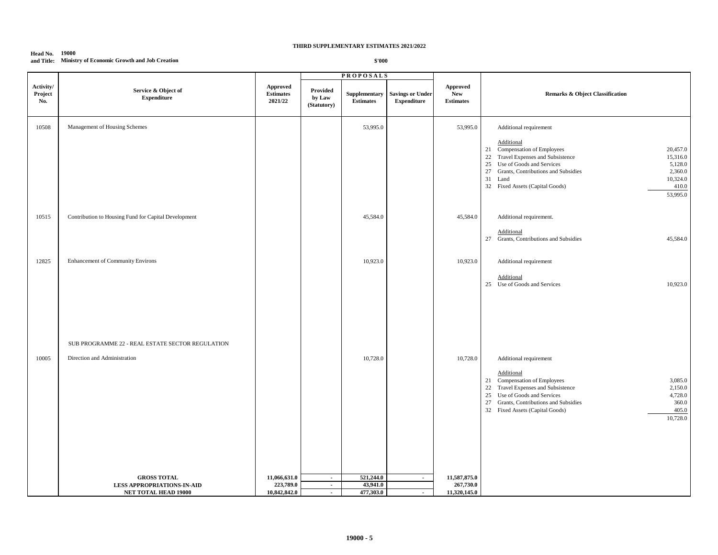#### **Head No. 19000 and Title: Ministry of Economic Growth and Job Creation**

|                                     |                                                                                  |                                                |                                   | <b>PROPOSALS</b>                  |                                               |                                                   |                                                                                                                                                                                                                                                                                                                   |
|-------------------------------------|----------------------------------------------------------------------------------|------------------------------------------------|-----------------------------------|-----------------------------------|-----------------------------------------------|---------------------------------------------------|-------------------------------------------------------------------------------------------------------------------------------------------------------------------------------------------------------------------------------------------------------------------------------------------------------------------|
| Activity/<br>${\bf Project}$<br>No. | Service & Object of<br><b>Expenditure</b>                                        | <b>Approved</b><br><b>Estimates</b><br>2021/22 | Provided<br>by Law<br>(Statutory) | Supplementary<br><b>Estimates</b> | <b>Savings or Under</b><br><b>Expenditure</b> | <b>Approved</b><br><b>New</b><br><b>Estimates</b> | Remarks & Object Classification                                                                                                                                                                                                                                                                                   |
| 10508                               | Management of Housing Schemes                                                    |                                                |                                   | 53,995.0                          |                                               | 53,995.0                                          | Additional requirement<br>Additional<br>21 Compensation of Employees<br>20,457.0<br>22 Travel Expenses and Subsistence<br>15,316.0<br>25 Use of Goods and Services<br>5,128.0<br>27 Grants, Contributions and Subsidies<br>2,360.0<br>10,324.0<br>31 Land<br>32 Fixed Assets (Capital Goods)<br>410.0<br>53,995.0 |
| 10515                               | Contribution to Housing Fund for Capital Development                             |                                                |                                   | 45,584.0                          |                                               | 45,584.0                                          | Additional requirement.<br>Additional<br>27 Grants, Contributions and Subsidies<br>45,584.0                                                                                                                                                                                                                       |
| 12825                               | Enhancement of Community Environs                                                |                                                |                                   | 10,923.0                          |                                               | 10,923.0                                          | Additional requirement<br>Additional<br>25 Use of Goods and Services<br>10,923.0                                                                                                                                                                                                                                  |
| 10005                               | SUB PROGRAMME 22 - REAL ESTATE SECTOR REGULATION<br>Direction and Administration |                                                |                                   | 10,728.0                          |                                               | 10,728.0                                          | Additional requirement<br>Additional<br>21 Compensation of Employees<br>3,085.0<br>22 Travel Expenses and Subsistence<br>2,150.0<br>25 Use of Goods and Services<br>4,728.0<br>27 Grants, Contributions and Subsidies<br>360.0<br>32 Fixed Assets (Capital Goods)<br>405.0<br>10,728.0                            |
|                                     | <b>GROSS TOTAL</b>                                                               | 11,066,631.0                                   | $\sim$                            | 521,244.0                         | $\sim$                                        | 11,587,875.0                                      |                                                                                                                                                                                                                                                                                                                   |
|                                     | LESS APPROPRIATIONS-IN-AID                                                       | 223,789.0                                      | $\mathbf{u}$                      | 43,941.0                          |                                               | 267,730.0                                         |                                                                                                                                                                                                                                                                                                                   |
|                                     | NET TOTAL HEAD 19000                                                             | 10,842,842.0                                   | $\sim$                            | 477,303.0                         | $\sim$                                        | 11,320,145.0                                      |                                                                                                                                                                                                                                                                                                                   |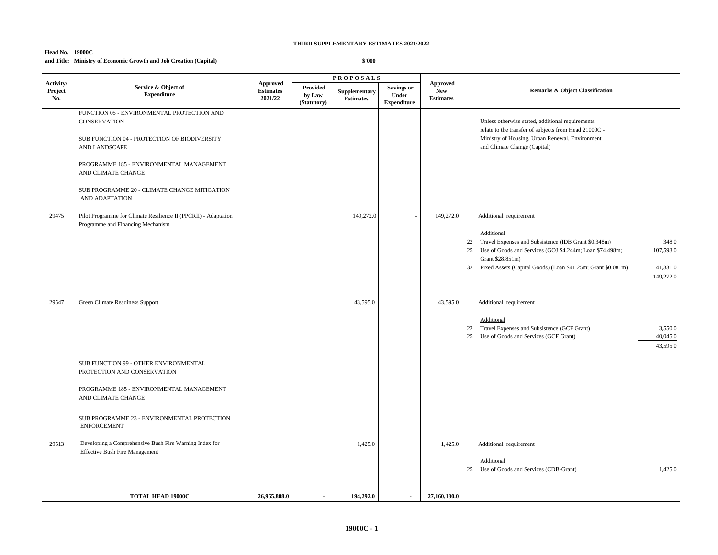#### **Head No. 19000C and Title: Ministry of Economic Growth and Job Creation (Capital)**

|                             |                                                                                                                                                                                                                                                                                                                                                                                |                                                |                                   | <b>PROPOSALS</b>                  |                                           |                                                   |                                                                                                                                                                                                                                                                                                                                                                                                                                                        |
|-----------------------------|--------------------------------------------------------------------------------------------------------------------------------------------------------------------------------------------------------------------------------------------------------------------------------------------------------------------------------------------------------------------------------|------------------------------------------------|-----------------------------------|-----------------------------------|-------------------------------------------|---------------------------------------------------|--------------------------------------------------------------------------------------------------------------------------------------------------------------------------------------------------------------------------------------------------------------------------------------------------------------------------------------------------------------------------------------------------------------------------------------------------------|
| Activity/<br>Project<br>No. | Service & Object of<br><b>Expenditure</b>                                                                                                                                                                                                                                                                                                                                      | <b>Approved</b><br><b>Estimates</b><br>2021/22 | Provided<br>by Law<br>(Statutory) | Supplementary<br><b>Estimates</b> | Savings or<br>Under<br><b>Expenditure</b> | <b>Approved</b><br><b>New</b><br><b>Estimates</b> | <b>Remarks &amp; Object Classification</b>                                                                                                                                                                                                                                                                                                                                                                                                             |
| 29475                       | FUNCTION 05 - ENVIRONMENTAL PROTECTION AND<br><b>CONSERVATION</b><br>SUB FUNCTION 04 - PROTECTION OF BIODIVERSITY<br>AND LANDSCAPE<br>PROGRAMME 185 - ENVIRONMENTAL MANAGEMENT<br>AND CLIMATE CHANGE<br>SUB PROGRAMME 20 - CLIMATE CHANGE MITIGATION<br>AND ADAPTATION<br>Pilot Programme for Climate Resilience II (PPCRII) - Adaptation<br>Programme and Financing Mechanism |                                                |                                   | 149,272.0                         |                                           | 149,272.0                                         | Unless otherwise stated, additional requirements<br>relate to the transfer of subjects from Head 21000C -<br>Ministry of Housing, Urban Renewal, Environment<br>and Climate Change (Capital)<br>Additional requirement                                                                                                                                                                                                                                 |
| 29547                       | Green Climate Readiness Support                                                                                                                                                                                                                                                                                                                                                |                                                |                                   | 43,595.0                          |                                           | 43,595.0                                          | Additional<br>22 Travel Expenses and Subsistence (IDB Grant \$0.348m)<br>348.0<br>Use of Goods and Services (GOJ \$4.244m; Loan \$74.498m;<br>107,593.0<br>25<br>Grant \$28.851m)<br>32 Fixed Assets (Capital Goods) (Loan \$41.25m; Grant \$0.081m)<br>41,331.0<br>149,272.0<br>Additional requirement<br>Additional<br>22 Travel Expenses and Subsistence (GCF Grant)<br>3,550.0<br>25 Use of Goods and Services (GCF Grant)<br>40,045.0<br>43,595.0 |
| 29513                       | SUB FUNCTION 99 - OTHER ENVIRONMENTAL<br>PROTECTION AND CONSERVATION<br>PROGRAMME 185 - ENVIRONMENTAL MANAGEMENT<br>AND CLIMATE CHANGE<br>SUB PROGRAMME 23 - ENVIRONMENTAL PROTECTION<br><b>ENFORCEMENT</b><br>Developing a Comprehensive Bush Fire Warning Index for<br><b>Effective Bush Fire Management</b>                                                                 |                                                |                                   | 1,425.0                           |                                           | 1,425.0                                           | Additional requirement<br>Additional<br>1,425.0<br>25 Use of Goods and Services (CDB-Grant)                                                                                                                                                                                                                                                                                                                                                            |
|                             | <b>TOTAL HEAD 19000C</b>                                                                                                                                                                                                                                                                                                                                                       | 26,965,888.0                                   | $\sim$                            | 194,292.0                         | $\sim$                                    | 27,160,180.0                                      |                                                                                                                                                                                                                                                                                                                                                                                                                                                        |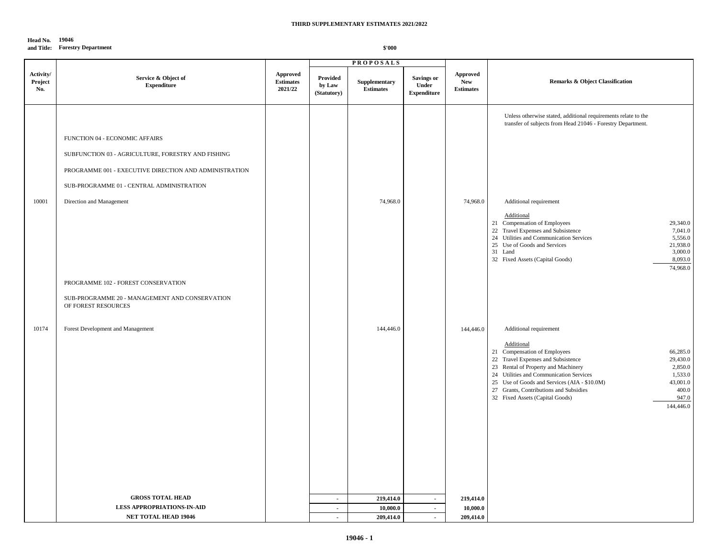#### **Head No. 19046**

#### **and Title: Forestry Department**

|                             |                                                                                                                                                                                                                         |                                                |                                   | <b>PROPOSALS</b>                  |                                                  |                                                   |                                                                                                                                                                                                                                                                                                                                                                                                                                                      |
|-----------------------------|-------------------------------------------------------------------------------------------------------------------------------------------------------------------------------------------------------------------------|------------------------------------------------|-----------------------------------|-----------------------------------|--------------------------------------------------|---------------------------------------------------|------------------------------------------------------------------------------------------------------------------------------------------------------------------------------------------------------------------------------------------------------------------------------------------------------------------------------------------------------------------------------------------------------------------------------------------------------|
| Activity/<br>Project<br>No. | Service & Object of<br><b>Expenditure</b>                                                                                                                                                                               | <b>Approved</b><br><b>Estimates</b><br>2021/22 | Provided<br>by Law<br>(Statutory) | Supplementary<br><b>Estimates</b> | <b>Savings or</b><br>Under<br><b>Expenditure</b> | <b>Approved</b><br><b>New</b><br><b>Estimates</b> | <b>Remarks &amp; Object Classification</b>                                                                                                                                                                                                                                                                                                                                                                                                           |
| 10001                       | FUNCTION 04 - ECONOMIC AFFAIRS<br>SUBFUNCTION 03 - AGRICULTURE, FORESTRY AND FISHING<br>PROGRAMME 001 - EXECUTIVE DIRECTION AND ADMINISTRATION<br>SUB-PROGRAMME 01 - CENTRAL ADMINISTRATION<br>Direction and Management |                                                |                                   | 74,968.0                          |                                                  | 74,968.0                                          | Unless otherwise stated, additional requirements relate to the<br>transfer of subjects from Head 21046 - Forestry Department.<br>Additional requirement<br>Additional<br>21 Compensation of Employees<br>29,340.0<br>22 Travel Expenses and Subsistence<br>7,041.0<br>24 Utilities and Communication Services<br>5,556.0<br>25 Use of Goods and Services<br>21,938.0<br>3,000.0<br>31 Land<br>32 Fixed Assets (Capital Goods)<br>8,093.0<br>74,968.0 |
|                             | PROGRAMME 102 - FOREST CONSERVATION<br>SUB-PROGRAMME 20 - MANAGEMENT AND CONSERVATION<br>OF FOREST RESOURCES                                                                                                            |                                                |                                   |                                   |                                                  |                                                   |                                                                                                                                                                                                                                                                                                                                                                                                                                                      |
| 10174                       | Forest Development and Management                                                                                                                                                                                       |                                                |                                   | 144,446.0                         |                                                  | 144,446.0                                         | Additional requirement<br>Additional<br>21 Compensation of Employees<br>66,285.0<br>22 Travel Expenses and Subsistence<br>29,430.0<br>23 Rental of Property and Machinery<br>2,850.0<br>24 Utilities and Communication Services<br>1,533.0<br>25 Use of Goods and Services (AIA - \$10.0M)<br>43,001.0<br>27 Grants, Contributions and Subsidies<br>400.0<br>947.0<br>32 Fixed Assets (Capital Goods)<br>144,446.0                                   |
|                             | <b>GROSS TOTAL HEAD</b>                                                                                                                                                                                                 |                                                | $\sim$                            | 219,414.0                         | $\sim$                                           | 219,414.0                                         |                                                                                                                                                                                                                                                                                                                                                                                                                                                      |
|                             | <b>LESS APPROPRIATIONS IN AID</b>                                                                                                                                                                                       |                                                | $\sim$                            | 10,000.0                          | $\sim$                                           | 10,000.0                                          |                                                                                                                                                                                                                                                                                                                                                                                                                                                      |
|                             | <b>NET TOTAL HEAD 19046</b>                                                                                                                                                                                             |                                                | $\sim$                            | 209,414.0                         | $\sim$                                           | 209,414.0                                         |                                                                                                                                                                                                                                                                                                                                                                                                                                                      |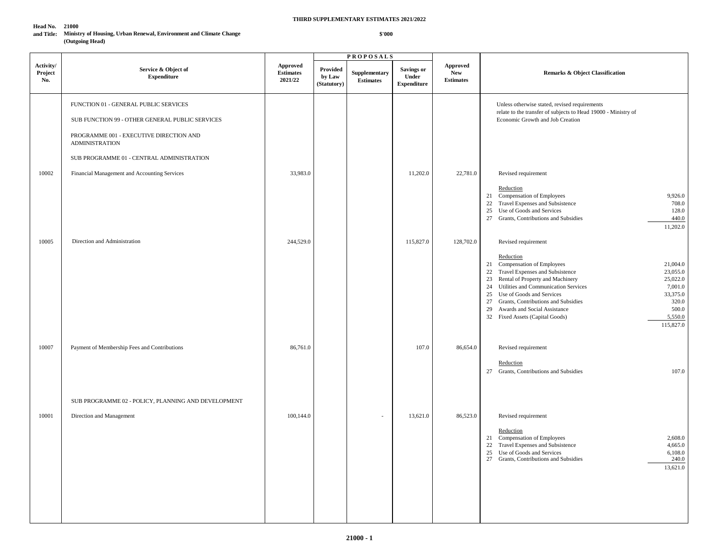#### **Head No. 21000**

**and Title: Ministry of Housing, Urban Renewal, Environment and Climate Change (Outgoing Head)** 

|                             |                                                                                                                                                              |                                                |                                   | <b>PROPOSALS</b>                  |                                           |                                                   |                                                                                                                                                                                                                                                                                                                                                                                                                              |
|-----------------------------|--------------------------------------------------------------------------------------------------------------------------------------------------------------|------------------------------------------------|-----------------------------------|-----------------------------------|-------------------------------------------|---------------------------------------------------|------------------------------------------------------------------------------------------------------------------------------------------------------------------------------------------------------------------------------------------------------------------------------------------------------------------------------------------------------------------------------------------------------------------------------|
| Activity/<br>Project<br>No. | Service & Object of<br><b>Expenditure</b>                                                                                                                    | <b>Approved</b><br><b>Estimates</b><br>2021/22 | Provided<br>by Law<br>(Statutory) | Supplementary<br><b>Estimates</b> | Savings or<br>Under<br><b>Expenditure</b> | <b>Approved</b><br><b>New</b><br><b>Estimates</b> | <b>Remarks &amp; Object Classification</b>                                                                                                                                                                                                                                                                                                                                                                                   |
|                             | FUNCTION 01 - GENERAL PUBLIC SERVICES<br>SUB FUNCTION 99 - OTHER GENERAL PUBLIC SERVICES<br>PROGRAMME 001 - EXECUTIVE DIRECTION AND<br><b>ADMINISTRATION</b> |                                                |                                   |                                   |                                           |                                                   | Unless otherwise stated, revised requirements<br>relate to the transfer of subjects to Head 19000 - Ministry of<br>Economic Growth and Job Creation                                                                                                                                                                                                                                                                          |
|                             | SUB PROGRAMME 01 - CENTRAL ADMINISTRATION                                                                                                                    |                                                |                                   |                                   |                                           |                                                   |                                                                                                                                                                                                                                                                                                                                                                                                                              |
| 10002                       | Financial Management and Accounting Services                                                                                                                 | 33,983.0                                       |                                   |                                   | 11,202.0                                  | 22,781.0                                          | Revised requirement<br>Reduction<br>21 Compensation of Employees<br>9,926.0<br>22 Travel Expenses and Subsistence<br>708.0<br>25 Use of Goods and Services<br>128.0<br>27 Grants, Contributions and Subsidies<br>440.0<br>11,202.0                                                                                                                                                                                           |
| 10005                       | Direction and Administration                                                                                                                                 | 244,529.0                                      |                                   |                                   | 115,827.0                                 | 128,702.0                                         | Revised requirement                                                                                                                                                                                                                                                                                                                                                                                                          |
|                             |                                                                                                                                                              |                                                |                                   |                                   |                                           |                                                   | Reduction<br>21 Compensation of Employees<br>21,004.0<br>22 Travel Expenses and Subsistence<br>23,055.0<br>23 Rental of Property and Machinery<br>25,022.0<br>24 Utilities and Communication Services<br>7,001.0<br>25<br>Use of Goods and Services<br>33,375.0<br>27 Grants, Contributions and Subsidies<br>320.0<br>500.0<br>29<br>Awards and Social Assistance<br>5,550.0<br>32 Fixed Assets (Capital Goods)<br>115,827.0 |
| 10007                       | Payment of Membership Fees and Contributions                                                                                                                 | 86,761.0                                       |                                   |                                   | 107.0                                     | 86,654.0                                          | Revised requirement<br>Reduction<br>27 Grants, Contributions and Subsidies<br>107.0                                                                                                                                                                                                                                                                                                                                          |
|                             | SUB PROGRAMME 02 - POLICY, PLANNING AND DEVELOPMENT                                                                                                          |                                                |                                   |                                   |                                           |                                                   |                                                                                                                                                                                                                                                                                                                                                                                                                              |
| 10001                       | Direction and Management                                                                                                                                     | 100,144.0                                      |                                   | ٠                                 | 13,621.0                                  | 86,523.0                                          | Revised requirement<br>Reduction<br>21 Compensation of Employees<br>2,608.0<br>22 Travel Expenses and Subsistence<br>4,665.0<br>25 Use of Goods and Services<br>6,108.0<br>240.0<br>27 Grants, Contributions and Subsidies<br>13,621.0                                                                                                                                                                                       |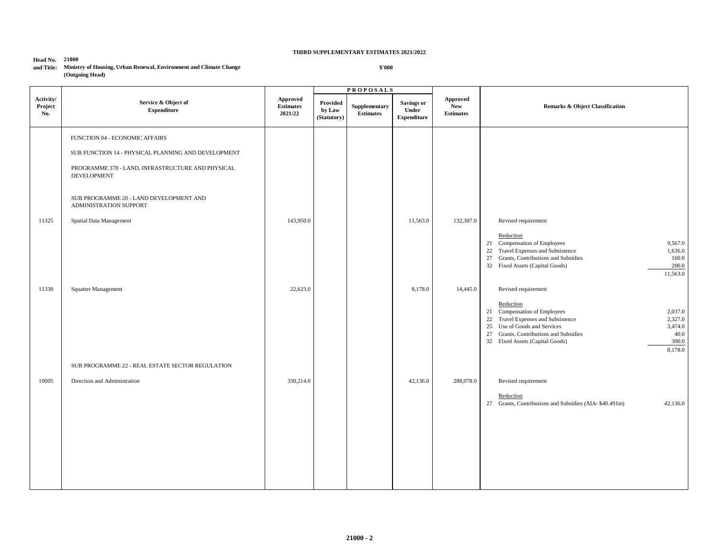**Head No. 21000** 

#### **and Title: Ministry of Housing, Urban Renewal, Environment and Climate Change (Outgoing Head)**

|                             |                                                                         |                                                |                                   | <b>PROPOSALS</b>                  |                                                  |                                                   |                                                                                                                                                                                                                                                           |
|-----------------------------|-------------------------------------------------------------------------|------------------------------------------------|-----------------------------------|-----------------------------------|--------------------------------------------------|---------------------------------------------------|-----------------------------------------------------------------------------------------------------------------------------------------------------------------------------------------------------------------------------------------------------------|
| Activity/<br>Project<br>No. | Service & Object of<br>${\bf Expenditure}$                              | <b>Approved</b><br><b>Estimates</b><br>2021/22 | Provided<br>by Law<br>(Statutory) | Supplementary<br><b>Estimates</b> | <b>Savings or</b><br>Under<br><b>Expenditure</b> | <b>Approved</b><br><b>New</b><br><b>Estimates</b> | <b>Remarks &amp; Object Classification</b>                                                                                                                                                                                                                |
|                             | FUNCTION 04 - ECONOMIC AFFAIRS                                          |                                                |                                   |                                   |                                                  |                                                   |                                                                                                                                                                                                                                                           |
|                             | SUB FUNCTION 14 - PHYSICAL PLANNING AND DEVELOPMENT                     |                                                |                                   |                                   |                                                  |                                                   |                                                                                                                                                                                                                                                           |
|                             | PROGRAMME 378 - LAND, INFRASTRUCTURE AND PHYSICAL<br><b>DEVELOPMENT</b> |                                                |                                   |                                   |                                                  |                                                   |                                                                                                                                                                                                                                                           |
|                             | SUB PROGRAMME 20 - LAND DEVELOPMENT AND<br>ADMINISTRATION SUPPORT       |                                                |                                   |                                   |                                                  |                                                   |                                                                                                                                                                                                                                                           |
| 11325                       | Spatial Data Management                                                 | 143,950.0                                      |                                   |                                   | 11,563.0                                         | 132,387.0                                         | Revised requirement                                                                                                                                                                                                                                       |
|                             |                                                                         |                                                |                                   |                                   |                                                  |                                                   | Reduction<br>21 Compensation of Employees<br>9,567.0<br>22 Travel Expenses and Subsistence<br>1,636.0<br>27 Grants, Contributions and Subsidies<br>160.0<br>32 Fixed Assets (Capital Goods)<br>200.0<br>11,563.0                                          |
| 11338                       | Squatter Management                                                     | 22,623.0                                       |                                   |                                   | 8,178.0                                          | 14,445.0                                          | Revised requirement                                                                                                                                                                                                                                       |
|                             |                                                                         |                                                |                                   |                                   |                                                  |                                                   | Reduction<br>21 Compensation of Employees<br>2,037.0<br>22 Travel Expenses and Subsistence<br>2,327.0<br>25 Use of Goods and Services<br>3,474.0<br>27 Grants, Contributions and Subsidies<br>40.0<br>32 Fixed Assets (Capital Goods)<br>300.0<br>8,178.0 |
|                             | SUB PROGRAMME 22 - REAL ESTATE SECTOR REGULATION                        |                                                |                                   |                                   |                                                  |                                                   |                                                                                                                                                                                                                                                           |
| 10005                       | Direction and Administration                                            | 330,214.0                                      |                                   |                                   | 42,136.0                                         | 288,078.0                                         | Revised requirement<br>Reduction<br>27 Grants, Contributions and Subsidies (AIA-\$40.491m)<br>42,136.0                                                                                                                                                    |
|                             |                                                                         |                                                |                                   |                                   |                                                  |                                                   |                                                                                                                                                                                                                                                           |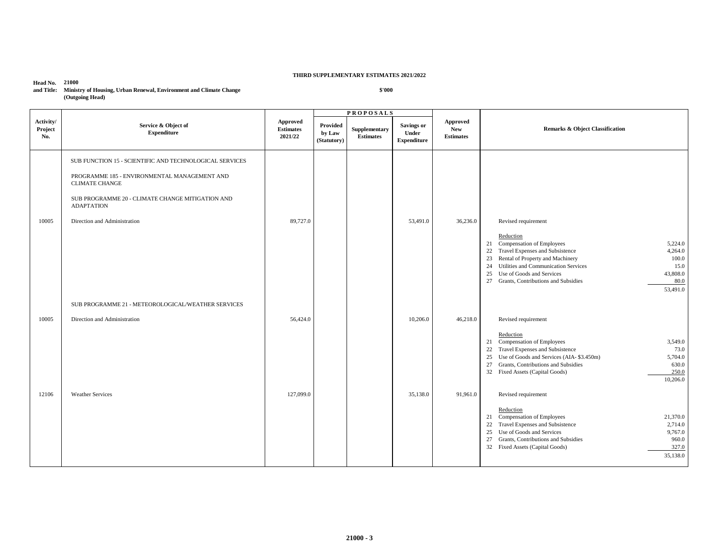#### **Head No. 21000 and Title: Ministry of Housing, Urban Renewal, Environment and Climate Change (Outgoing Head)**

|                             |                                                                                                                                                                                                                                           |                                                |                                   | <b>PROPOSALS</b>                  |                                                  |                                            |                                                                                                                                                                                                                                                                                                                                                       |
|-----------------------------|-------------------------------------------------------------------------------------------------------------------------------------------------------------------------------------------------------------------------------------------|------------------------------------------------|-----------------------------------|-----------------------------------|--------------------------------------------------|--------------------------------------------|-------------------------------------------------------------------------------------------------------------------------------------------------------------------------------------------------------------------------------------------------------------------------------------------------------------------------------------------------------|
| Activity/<br>Project<br>No. | Service & Object of<br><b>Expenditure</b>                                                                                                                                                                                                 | <b>Approved</b><br><b>Estimates</b><br>2021/22 | Provided<br>by Law<br>(Statutory) | Supplementary<br><b>Estimates</b> | <b>Savings or</b><br>Under<br><b>Expenditure</b> | Approved<br><b>New</b><br><b>Estimates</b> | <b>Remarks &amp; Object Classification</b>                                                                                                                                                                                                                                                                                                            |
| 10005                       | SUB FUNCTION 15 - SCIENTIFIC AND TECHNOLOGICAL SERVICES<br>PROGRAMME 185 - ENVIRONMENTAL MANAGEMENT AND<br><b>CLIMATE CHANGE</b><br>SUB PROGRAMME 20 - CLIMATE CHANGE MITIGATION AND<br><b>ADAPTATION</b><br>Direction and Administration | 89,727.0                                       |                                   |                                   | 53,491.0                                         | 36,236.0                                   | Revised requirement<br>Reduction<br>21 Compensation of Employees<br>5,224.0<br>Travel Expenses and Subsistence<br>4,264.0<br>22<br>Rental of Property and Machinery<br>100.0<br>23<br>Utilities and Communication Services<br>15.0<br>24<br>Use of Goods and Services<br>43,808.0<br>25<br>27 Grants, Contributions and Subsidies<br>80.0<br>53,491.0 |
|                             | SUB PROGRAMME 21 - METEOROLOGICAL/WEATHER SERVICES                                                                                                                                                                                        |                                                |                                   |                                   |                                                  |                                            |                                                                                                                                                                                                                                                                                                                                                       |
| 10005                       | Direction and Administration                                                                                                                                                                                                              | 56,424.0                                       |                                   |                                   | 10,206.0                                         | 46,218.0                                   | Revised requirement<br>Reduction<br>21 Compensation of Employees<br>3,549.0<br>Travel Expenses and Subsistence<br>73.0<br>22<br>25 Use of Goods and Services (AIA-\$3.450m)<br>5,704.0<br>Grants, Contributions and Subsidies<br>630.0<br>27<br>250.0<br>32 Fixed Assets (Capital Goods)<br>10,206.0                                                  |
| 12106                       | <b>Weather Services</b>                                                                                                                                                                                                                   | 127,099.0                                      |                                   |                                   | 35,138.0                                         | 91,961.0                                   | Revised requirement<br>Reduction<br>21 Compensation of Employees<br>21,370.0<br>Travel Expenses and Subsistence<br>2,714.0<br>22<br>Use of Goods and Services<br>9,767.0<br>25<br>27 Grants, Contributions and Subsidies<br>960.0<br>327.0<br>32 Fixed Assets (Capital Goods)<br>35,138.0                                                             |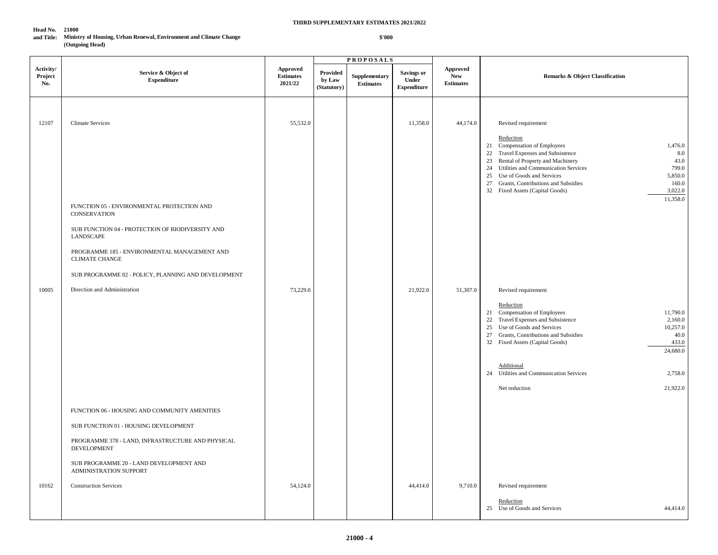**\$'000**

#### **Head No. 21000**

#### **and Title: Ministry of Housing, Urban Renewal, Environment and Climate Change (Outgoing Head)**

|                             |                                                                         |                                                |                                   | <b>PROPOSALS</b>                  |                                           |                                                   |                                                                                                                                                                                                                                                                                                                                                 |
|-----------------------------|-------------------------------------------------------------------------|------------------------------------------------|-----------------------------------|-----------------------------------|-------------------------------------------|---------------------------------------------------|-------------------------------------------------------------------------------------------------------------------------------------------------------------------------------------------------------------------------------------------------------------------------------------------------------------------------------------------------|
| Activity/<br>Project<br>No. | Service & Object of<br><b>Expenditure</b>                               | <b>Approved</b><br><b>Estimates</b><br>2021/22 | Provided<br>by Law<br>(Statutory) | Supplementary<br><b>Estimates</b> | Savings or<br>Under<br><b>Expenditure</b> | <b>Approved</b><br><b>New</b><br><b>Estimates</b> | <b>Remarks &amp; Object Classification</b>                                                                                                                                                                                                                                                                                                      |
| 12107                       | <b>Climate Services</b>                                                 | 55,532.0                                       |                                   |                                   | 11,358.0                                  | 44,174.0                                          | Revised requirement<br>Reduction                                                                                                                                                                                                                                                                                                                |
|                             |                                                                         |                                                |                                   |                                   |                                           |                                                   | 21 Compensation of Employees<br>1,476.0<br>22 Travel Expenses and Subsistence<br>8.0<br>23 Rental of Property and Machinery<br>43.0<br>24 Utilities and Communication Services<br>799.0<br>5,850.0<br>25 Use of Goods and Services<br>27 Grants, Contributions and Subsidies<br>160.0<br>3,022.0<br>32 Fixed Assets (Capital Goods)<br>11,358.0 |
|                             | FUNCTION 05 - ENVIRONMENTAL PROTECTION AND<br><b>CONSERVATION</b>       |                                                |                                   |                                   |                                           |                                                   |                                                                                                                                                                                                                                                                                                                                                 |
|                             | SUB FUNCTION 04 - PROTECTION OF BIODIVERSITY AND<br>LANDSCAPE           |                                                |                                   |                                   |                                           |                                                   |                                                                                                                                                                                                                                                                                                                                                 |
|                             | PROGRAMME 185 - ENVIRONMENTAL MANAGEMENT AND<br><b>CLIMATE CHANGE</b>   |                                                |                                   |                                   |                                           |                                                   |                                                                                                                                                                                                                                                                                                                                                 |
|                             | SUB PROGRAMME 02 - POLICY, PLANNING AND DEVELOPMENT                     |                                                |                                   |                                   |                                           |                                                   |                                                                                                                                                                                                                                                                                                                                                 |
| 10005                       | Direction and Administration                                            | 73,229.0                                       |                                   |                                   | 21,922.0                                  | 51,307.0                                          | Revised requirement<br>Reduction<br>21 Compensation of Employees<br>11,790.0<br>22 Travel Expenses and Subsistence<br>2,160.0<br>25 Use of Goods and Services<br>10,257.0<br>27 Grants, Contributions and Subsidies<br>40.0<br>433.0<br>32 Fixed Assets (Capital Goods)<br>24,680.0                                                             |
|                             |                                                                         |                                                |                                   |                                   |                                           |                                                   | Additional                                                                                                                                                                                                                                                                                                                                      |
|                             |                                                                         |                                                |                                   |                                   |                                           |                                                   | 24 Utilities and Communication Services<br>2,758.0                                                                                                                                                                                                                                                                                              |
|                             |                                                                         |                                                |                                   |                                   |                                           |                                                   | 21,922.0<br>Net reduction                                                                                                                                                                                                                                                                                                                       |
|                             | FUNCTION 06 - HOUSING AND COMMUNITY AMENITIES                           |                                                |                                   |                                   |                                           |                                                   |                                                                                                                                                                                                                                                                                                                                                 |
|                             | SUB FUNCTION 01 - HOUSING DEVELOPMENT                                   |                                                |                                   |                                   |                                           |                                                   |                                                                                                                                                                                                                                                                                                                                                 |
|                             | PROGRAMME 378 - LAND, INFRASTRUCTURE AND PHYSICAL<br><b>DEVELOPMENT</b> |                                                |                                   |                                   |                                           |                                                   |                                                                                                                                                                                                                                                                                                                                                 |
|                             | SUB PROGRAMME 20 - LAND DEVELOPMENT AND<br>ADMINISTRATION SUPPORT       |                                                |                                   |                                   |                                           |                                                   |                                                                                                                                                                                                                                                                                                                                                 |
| 10162                       | <b>Construction Services</b>                                            | 54,124.0                                       |                                   |                                   | 44,414.0                                  | 9,710.0                                           | Revised requirement                                                                                                                                                                                                                                                                                                                             |
|                             |                                                                         |                                                |                                   |                                   |                                           |                                                   | Reduction<br>25 Use of Goods and Services<br>44,414.0                                                                                                                                                                                                                                                                                           |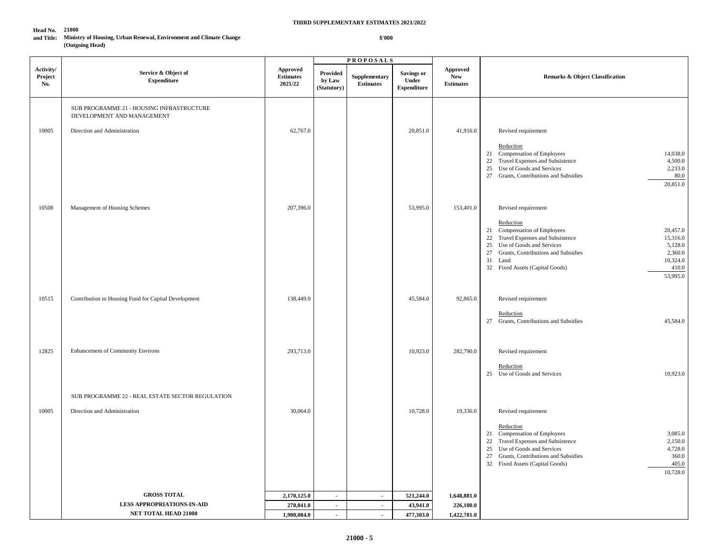**\$'000**

#### **Head No. 21000**

#### **and Title: Ministry of Housing, Urban Renewal, Environment and Climate Change (Outgoing Head)**

|                             |                                                                         |                                                |                                          | <b>PROPOSALS</b>                  |                                           |                                            |                                                                                                                                                                                                                                                                                           |
|-----------------------------|-------------------------------------------------------------------------|------------------------------------------------|------------------------------------------|-----------------------------------|-------------------------------------------|--------------------------------------------|-------------------------------------------------------------------------------------------------------------------------------------------------------------------------------------------------------------------------------------------------------------------------------------------|
| Activity/<br>Project<br>No. | Service & Object of<br><b>Expenditure</b>                               | <b>Approved</b><br><b>Estimates</b><br>2021/22 | <b>Provided</b><br>by Law<br>(Statutory) | Supplementary<br><b>Estimates</b> | Savings or<br>Under<br><b>Expenditure</b> | Approved<br><b>New</b><br><b>Estimates</b> | <b>Remarks &amp; Object Classification</b>                                                                                                                                                                                                                                                |
|                             | SUB PROGRAMME 21 - HOUSING INFRASTRUCTURE<br>DEVELOPMENT AND MANAGEMENT |                                                |                                          |                                   |                                           |                                            |                                                                                                                                                                                                                                                                                           |
| 10005                       | Direction and Administration                                            | 62,767.0                                       |                                          |                                   | 20,851.0                                  | 41,916.0                                   | Revised requirement                                                                                                                                                                                                                                                                       |
|                             |                                                                         |                                                |                                          |                                   |                                           |                                            | Reduction<br>21 Compensation of Employees<br>14,038.0<br>22 Travel Expenses and Subsistence<br>4,500.0<br>2,233.0<br>25 Use of Goods and Services<br>27 Grants, Contributions and Subsidies<br>80.0<br>20,851.0                                                                           |
| 10508                       | Management of Housing Schemes                                           | 207,396.0                                      |                                          |                                   | 53,995.0                                  | 153,401.0                                  | Revised requirement                                                                                                                                                                                                                                                                       |
|                             |                                                                         |                                                |                                          |                                   |                                           |                                            | Reduction<br>21 Compensation of Employees<br>20,457.0<br>22 Travel Expenses and Subsistence<br>15,316.0<br>25 Use of Goods and Services<br>5,128.0<br>2,360.0<br>27<br>Grants, Contributions and Subsidies<br>10,324.0<br>31 Land<br>410.0<br>32 Fixed Assets (Capital Goods)<br>53,995.0 |
| 10515                       | Contribution to Housing Fund for Capital Development                    | 138,449.0                                      |                                          |                                   | 45,584.0                                  | 92,865.0                                   | Revised requirement                                                                                                                                                                                                                                                                       |
|                             |                                                                         |                                                |                                          |                                   |                                           |                                            | Reduction<br>27 Grants, Contributions and Subsidies<br>45,584.0                                                                                                                                                                                                                           |
| 12825                       | <b>Enhancement of Community Environs</b>                                | 293,713.0                                      |                                          |                                   | 10,923.0                                  | 282,790.0                                  | Revised requirement                                                                                                                                                                                                                                                                       |
|                             |                                                                         |                                                |                                          |                                   |                                           |                                            | Reduction<br>10,923.0<br>25 Use of Goods and Services                                                                                                                                                                                                                                     |
|                             | SUB PROGRAMME 22 - REAL ESTATE SECTOR REGULATION                        |                                                |                                          |                                   |                                           |                                            |                                                                                                                                                                                                                                                                                           |
| 10005                       | Direction and Administration                                            | 30,064.0                                       |                                          |                                   | 10,728.0                                  | 19,336.0                                   | Revised requirement                                                                                                                                                                                                                                                                       |
|                             |                                                                         |                                                |                                          |                                   |                                           |                                            | Reduction<br>21 Compensation of Employees<br>3,085.0<br>22 Travel Expenses and Subsistence<br>2,150.0<br>25 Use of Goods and Services<br>4,728.0<br>360.0<br>27<br>Grants, Contributions and Subsidies<br>405.0<br>32 Fixed Assets (Capital Goods)<br>10,728.0                            |
|                             | <b>GROSS TOTAL</b>                                                      | 2,170,125.0                                    | $\blacksquare$                           | $\blacksquare$                    | 521,244.0                                 | 1,648,881.0                                |                                                                                                                                                                                                                                                                                           |
|                             | <b>LESS APPROPRIATIONS-IN-AID</b>                                       | 270,041.0                                      | $\blacksquare$                           | $\mathbf{u}$                      | 43,941.0                                  | 226,100.0                                  |                                                                                                                                                                                                                                                                                           |
|                             | NET TOTAL HEAD 21000                                                    | 1,900,084.0                                    | $\mathbf{r}$                             | $\sim$                            | 477,303.0                                 | 1,422,781.0                                |                                                                                                                                                                                                                                                                                           |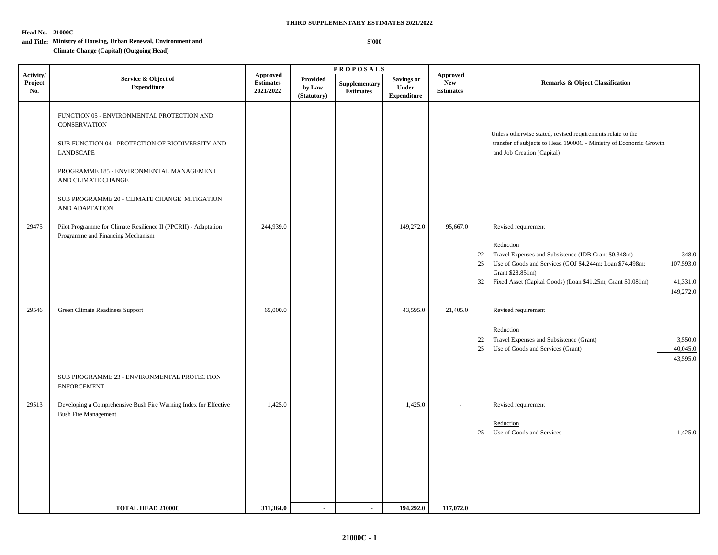#### **Head No. 21000C**

#### **THIRD SUPPLEMENTARY ESTIMATES 2021/2022**

 **\$'000**

#### **and Title: Ministry of Housing, Urban Renewal, Environment and**

#### **Climate Change (Capital) (Outgoing Head)**

|                             |                                                                                                                                                                                                                                                                        |                                                  |                                   | <b>PROPOSALS</b>                  |                                           |                                                   |                                                                                                                                                                                                                                                                                                          |  |
|-----------------------------|------------------------------------------------------------------------------------------------------------------------------------------------------------------------------------------------------------------------------------------------------------------------|--------------------------------------------------|-----------------------------------|-----------------------------------|-------------------------------------------|---------------------------------------------------|----------------------------------------------------------------------------------------------------------------------------------------------------------------------------------------------------------------------------------------------------------------------------------------------------------|--|
| Activity/<br>Project<br>No. | Service & Object of<br><b>Expenditure</b>                                                                                                                                                                                                                              | <b>Approved</b><br><b>Estimates</b><br>2021/2022 | Provided<br>by Law<br>(Statutory) | Supplementary<br><b>Estimates</b> | Savings or<br>Under<br><b>Expenditure</b> | <b>Approved</b><br><b>New</b><br><b>Estimates</b> | <b>Remarks &amp; Object Classification</b>                                                                                                                                                                                                                                                               |  |
|                             | FUNCTION 05 - ENVIRONMENTAL PROTECTION AND<br><b>CONSERVATION</b><br>SUB FUNCTION 04 - PROTECTION OF BIODIVERSITY AND<br>LANDSCAPE<br>PROGRAMME 185 - ENVIRONMENTAL MANAGEMENT<br>AND CLIMATE CHANGE<br>SUB PROGRAMME 20 - CLIMATE CHANGE MITIGATION<br>AND ADAPTATION |                                                  |                                   |                                   |                                           |                                                   | Unless otherwise stated, revised requirements relate to the<br>transfer of subjects to Head 19000C - Ministry of Economic Growth<br>and Job Creation (Capital)                                                                                                                                           |  |
| 29475                       | Pilot Programme for Climate Resilience II (PPCRII) - Adaptation<br>Programme and Financing Mechanism                                                                                                                                                                   | 244,939.0                                        |                                   |                                   | 149,272.0                                 | 95,667.0                                          | Revised requirement<br>Reduction<br>Travel Expenses and Subsistence (IDB Grant \$0.348m)<br>348.0<br>22<br>Use of Goods and Services (GOJ \$4.244m; Loan \$74.498m;<br>107,593.0<br>25<br>Grant \$28.851m)<br>Fixed Asset (Capital Goods) (Loan \$41.25m; Grant \$0.081m)<br>41,331.0<br>32<br>149,272.0 |  |
| 29546                       | Green Climate Readiness Support<br>SUB PROGRAMME 23 - ENVIRONMENTAL PROTECTION<br><b>ENFORCEMENT</b>                                                                                                                                                                   | 65,000.0                                         |                                   |                                   | 43,595.0                                  | 21,405.0                                          | Revised requirement<br>Reduction<br>Travel Expenses and Subsistence (Grant)<br>3,550.0<br>22<br>40,045.0<br>Use of Goods and Services (Grant)<br>25<br>43,595.0                                                                                                                                          |  |
| 29513                       | Developing a Comprehensive Bush Fire Warning Index for Effective<br><b>Bush Fire Management</b>                                                                                                                                                                        | 1,425.0                                          |                                   |                                   | 1,425.0                                   | $\sim$                                            | Revised requirement<br>Reduction<br>Use of Goods and Services<br>1,425.0<br>25                                                                                                                                                                                                                           |  |
|                             | <b>TOTAL HEAD 21000C</b>                                                                                                                                                                                                                                               | 311,364.0                                        | $\blacksquare$                    | $\blacksquare$                    | 194,292.0                                 | 117,072.0                                         |                                                                                                                                                                                                                                                                                                          |  |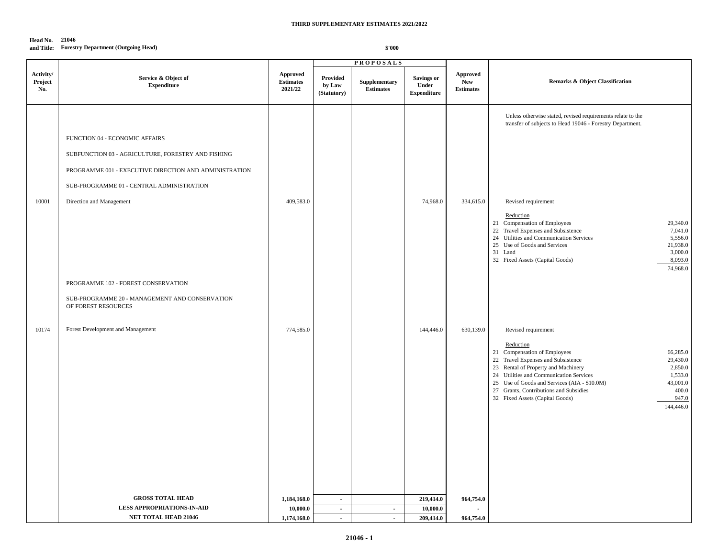#### **Head No. 21046 and Title: Forestry Department (Outgoing Head)**

|                             |                                                                                                                                                                                                                         |                                                |                                   | <b>PROPOSALS</b>                  |                                           |                                                   |                                                                                                                                                                                                                                                                                                                                                                                                                                             |
|-----------------------------|-------------------------------------------------------------------------------------------------------------------------------------------------------------------------------------------------------------------------|------------------------------------------------|-----------------------------------|-----------------------------------|-------------------------------------------|---------------------------------------------------|---------------------------------------------------------------------------------------------------------------------------------------------------------------------------------------------------------------------------------------------------------------------------------------------------------------------------------------------------------------------------------------------------------------------------------------------|
| Activity/<br>Project<br>No. | Service & Object of<br><b>Expenditure</b>                                                                                                                                                                               | <b>Approved</b><br><b>Estimates</b><br>2021/22 | Provided<br>by Law<br>(Statutory) | Supplementary<br><b>Estimates</b> | Savings or<br>Under<br><b>Expenditure</b> | <b>Approved</b><br><b>New</b><br><b>Estimates</b> | <b>Remarks &amp; Object Classification</b>                                                                                                                                                                                                                                                                                                                                                                                                  |
| 10001                       | FUNCTION 04 - ECONOMIC AFFAIRS<br>SUBFUNCTION 03 - AGRICULTURE, FORESTRY AND FISHING<br>PROGRAMME 001 - EXECUTIVE DIRECTION AND ADMINISTRATION<br>SUB-PROGRAMME 01 - CENTRAL ADMINISTRATION<br>Direction and Management | 409,583.0                                      |                                   |                                   | 74,968.0                                  | 334,615.0                                         | Unless otherwise stated, revised requirements relate to the<br>transfer of subjects to Head 19046 - Forestry Department.<br>Revised requirement<br>Reduction<br>21 Compensation of Employees<br>29,340.0<br>22 Travel Expenses and Subsistence<br>7,041.0<br>24 Utilities and Communication Services<br>5,556.0<br>25 Use of Goods and Services<br>21,938.0<br>31 Land<br>3,000.0<br>32 Fixed Assets (Capital Goods)<br>8,093.0<br>74,968.0 |
|                             | PROGRAMME 102 - FOREST CONSERVATION<br>SUB-PROGRAMME 20 - MANAGEMENT AND CONSERVATION<br>OF FOREST RESOURCES                                                                                                            |                                                |                                   |                                   |                                           |                                                   |                                                                                                                                                                                                                                                                                                                                                                                                                                             |
| 10174                       | Forest Development and Management                                                                                                                                                                                       | 774,585.0                                      |                                   |                                   | 144,446.0                                 | 630,139.0                                         | Revised requirement<br>Reduction<br>21 Compensation of Employees<br>66,285.0<br>22 Travel Expenses and Subsistence<br>29,430.0<br>23 Rental of Property and Machinery<br>2,850.0<br>24 Utilities and Communication Services<br>1,533.0<br>25 Use of Goods and Services (AIA - \$10.0M)<br>43,001.0<br>27 Grants, Contributions and Subsidies<br>400.0<br>947.0<br>32 Fixed Assets (Capital Goods)<br>144,446.0                              |
|                             | <b>GROSS TOTAL HEAD</b>                                                                                                                                                                                                 | 1,184,168.0                                    | $\mathbf{r}$                      |                                   | 219,414.0                                 | 964,754.0                                         |                                                                                                                                                                                                                                                                                                                                                                                                                                             |
|                             | <b>LESS APPROPRIATIONS IN AID</b>                                                                                                                                                                                       | 10,000.0                                       | $\sim$                            | $\mathcal{L}^{\pm}$               | 10,000.0                                  |                                                   |                                                                                                                                                                                                                                                                                                                                                                                                                                             |
|                             | NET TOTAL HEAD 21046                                                                                                                                                                                                    | 1,174,168.0                                    | $\sim$                            | $\sim$                            | 209,414.0                                 | 964,754.0                                         |                                                                                                                                                                                                                                                                                                                                                                                                                                             |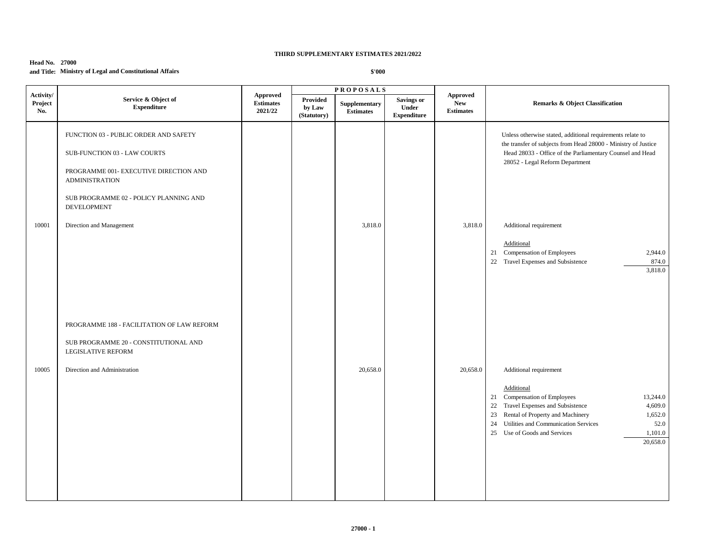#### **Head No. 27000 and Title: Ministry of Legal and Constitutional Affairs**

|                             |                                                                                                                                                                                                   |                                                |                                   | <b>PROPOSALS</b>           |                                                  |                                                   |                                                                                                                                                                                                                                                                                                     |
|-----------------------------|---------------------------------------------------------------------------------------------------------------------------------------------------------------------------------------------------|------------------------------------------------|-----------------------------------|----------------------------|--------------------------------------------------|---------------------------------------------------|-----------------------------------------------------------------------------------------------------------------------------------------------------------------------------------------------------------------------------------------------------------------------------------------------------|
| Activity/<br>Project<br>No. | Service & Object of<br><b>Expenditure</b>                                                                                                                                                         | <b>Approved</b><br><b>Estimates</b><br>2021/22 | Provided<br>by Law<br>(Statutory) | Supplementary<br>Estimates | <b>Savings or</b><br>Under<br><b>Expenditure</b> | <b>Approved</b><br><b>New</b><br><b>Estimates</b> | <b>Remarks &amp; Object Classification</b>                                                                                                                                                                                                                                                          |
|                             | FUNCTION 03 - PUBLIC ORDER AND SAFETY<br>SUB-FUNCTION 03 - LAW COURTS<br>PROGRAMME 001- EXECUTIVE DIRECTION AND<br><b>ADMINISTRATION</b><br>SUB PROGRAMME 02 - POLICY PLANNING AND<br>DEVELOPMENT |                                                |                                   |                            |                                                  |                                                   | Unless otherwise stated, additional requirements relate to<br>the transfer of subjects from Head 28000 - Ministry of Justice<br>Head 28033 - Office of the Parliamentary Counsel and Head<br>28052 - Legal Reform Department                                                                        |
| 10001                       | Direction and Management                                                                                                                                                                          |                                                |                                   | 3,818.0                    |                                                  | 3,818.0                                           | Additional requirement<br>Additional<br>21 Compensation of Employees<br>2,944.0<br>22 Travel Expenses and Subsistence<br>874.0<br>3,818.0                                                                                                                                                           |
| 10005                       | PROGRAMME 188 - FACILITATION OF LAW REFORM<br>SUB PROGRAMME 20 - CONSTITUTIONAL AND<br>LEGISLATIVE REFORM<br>Direction and Administration                                                         |                                                |                                   | 20,658.0                   |                                                  | 20,658.0                                          | Additional requirement<br>Additional<br>21 Compensation of Employees<br>13,244.0<br>22 Travel Expenses and Subsistence<br>4,609.0<br>Rental of Property and Machinery<br>1,652.0<br>23<br>Utilities and Communication Services<br>52.0<br>24<br>25 Use of Goods and Services<br>1,101.0<br>20,658.0 |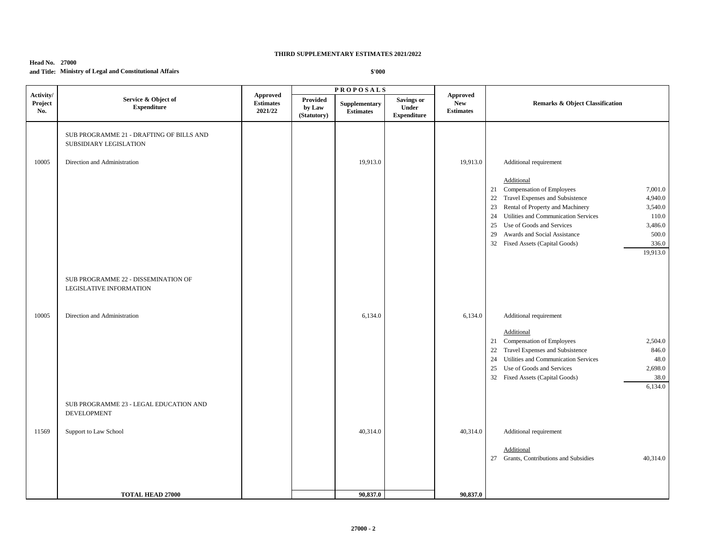#### **Head No. 27000 and Title: Ministry of Legal and Constitutional Affairs**

|                             |                                                                    |                                         |                                   | <b>PROPOSALS</b>                  |                                                  |                                            |                                                                                                                                                                                                                                                                                                                                                                                                   |
|-----------------------------|--------------------------------------------------------------------|-----------------------------------------|-----------------------------------|-----------------------------------|--------------------------------------------------|--------------------------------------------|---------------------------------------------------------------------------------------------------------------------------------------------------------------------------------------------------------------------------------------------------------------------------------------------------------------------------------------------------------------------------------------------------|
| Activity/<br>Project<br>No. | Service & Object of<br><b>Expenditure</b>                          | Approved<br><b>Estimates</b><br>2021/22 | Provided<br>by Law<br>(Statutory) | Supplementary<br><b>Estimates</b> | <b>Savings or</b><br>Under<br><b>Expenditure</b> | Approved<br><b>New</b><br><b>Estimates</b> | Remarks & Object Classification                                                                                                                                                                                                                                                                                                                                                                   |
|                             | SUB PROGRAMME 21 - DRAFTING OF BILLS AND<br>SUBSIDIARY LEGISLATION |                                         |                                   |                                   |                                                  |                                            |                                                                                                                                                                                                                                                                                                                                                                                                   |
| 10005                       | Direction and Administration                                       |                                         |                                   | 19,913.0                          |                                                  | 19,913.0                                   | Additional requirement<br>Additional<br>21 Compensation of Employees<br>7,001.0<br>22 Travel Expenses and Subsistence<br>4,940.0<br>Rental of Property and Machinery<br>3,540.0<br>23<br>Utilities and Communication Services<br>110.0<br>24<br>Use of Goods and Services<br>3,486.0<br>25<br>Awards and Social Assistance<br>500.0<br>29<br>336.0<br>32 Fixed Assets (Capital Goods)<br>19,913.0 |
|                             | SUB PROGRAMME 22 - DISSEMINATION OF<br>LEGISLATIVE INFORMATION     |                                         |                                   |                                   |                                                  |                                            |                                                                                                                                                                                                                                                                                                                                                                                                   |
| 10005                       | Direction and Administration                                       |                                         |                                   | 6,134.0                           |                                                  | 6,134.0                                    | Additional requirement<br>Additional<br>21 Compensation of Employees<br>2,504.0<br>Travel Expenses and Subsistence<br>846.0<br>22<br>Utilities and Communication Services<br>48.0<br>24<br>Use of Goods and Services<br>2,698.0<br>25<br>38.0<br>32 Fixed Assets (Capital Goods)<br>6,134.0                                                                                                       |
|                             | SUB PROGRAMME 23 - LEGAL EDUCATION AND<br><b>DEVELOPMENT</b>       |                                         |                                   |                                   |                                                  |                                            |                                                                                                                                                                                                                                                                                                                                                                                                   |
| 11569                       | Support to Law School                                              |                                         |                                   | 40,314.0                          |                                                  | 40,314.0                                   | Additional requirement<br>Additional<br>27 Grants, Contributions and Subsidies<br>40,314.0                                                                                                                                                                                                                                                                                                        |
|                             | <b>TOTAL HEAD 27000</b>                                            |                                         |                                   | 90,837.0                          |                                                  | 90,837.0                                   |                                                                                                                                                                                                                                                                                                                                                                                                   |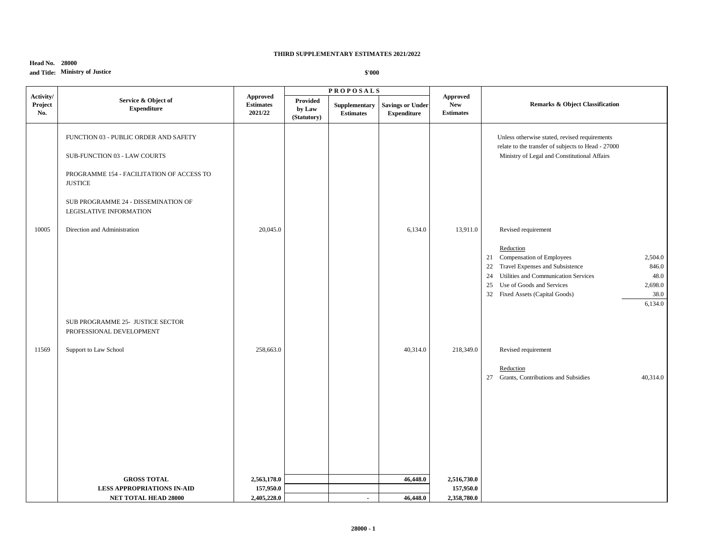#### **Head No. 28000 and Title: Ministry of Justice**

|                             |                                                                |                                                | <b>PROPOSALS</b>                         |                                   |                                               |                                            |                                                                                                                                                                                                                                                         |  |
|-----------------------------|----------------------------------------------------------------|------------------------------------------------|------------------------------------------|-----------------------------------|-----------------------------------------------|--------------------------------------------|---------------------------------------------------------------------------------------------------------------------------------------------------------------------------------------------------------------------------------------------------------|--|
| Activity/<br>Project<br>No. | Service & Object of<br><b>Expenditure</b>                      | <b>Approved</b><br><b>Estimates</b><br>2021/22 | <b>Provided</b><br>by Law<br>(Statutory) | Supplementary<br><b>Estimates</b> | <b>Savings or Under</b><br><b>Expenditure</b> | Approved<br><b>New</b><br><b>Estimates</b> | <b>Remarks &amp; Object Classification</b>                                                                                                                                                                                                              |  |
|                             | FUNCTION 03 - PUBLIC ORDER AND SAFETY                          |                                                |                                          |                                   |                                               |                                            | Unless otherwise stated, revised requirements<br>relate to the transfer of subjects to Head - 27000                                                                                                                                                     |  |
|                             | SUB-FUNCTION 03 - LAW COURTS                                   |                                                |                                          |                                   |                                               |                                            | Ministry of Legal and Constitutional Affairs                                                                                                                                                                                                            |  |
|                             | PROGRAMME 154 - FACILITATION OF ACCESS TO<br><b>JUSTICE</b>    |                                                |                                          |                                   |                                               |                                            |                                                                                                                                                                                                                                                         |  |
|                             | SUB PROGRAMME 24 - DISSEMINATION OF<br>LEGISLATIVE INFORMATION |                                                |                                          |                                   |                                               |                                            |                                                                                                                                                                                                                                                         |  |
| 10005                       | Direction and Administration                                   | 20,045.0                                       |                                          |                                   | 6,134.0                                       | 13,911.0                                   | Revised requirement                                                                                                                                                                                                                                     |  |
|                             |                                                                |                                                |                                          |                                   |                                               |                                            | Reduction<br>21 Compensation of Employees<br>2,504.0<br>22 Travel Expenses and Subsistence<br>846.0<br>48.0<br>24 Utilities and Communication Services<br>25 Use of Goods and Services<br>2,698.0<br>32 Fixed Assets (Capital Goods)<br>38.0<br>6,134.0 |  |
|                             | SUB PROGRAMME 25- JUSTICE SECTOR<br>PROFESSIONAL DEVELOPMENT   |                                                |                                          |                                   |                                               |                                            |                                                                                                                                                                                                                                                         |  |
| 11569                       | Support to Law School                                          | 258,663.0                                      |                                          |                                   | 40,314.0                                      | 218,349.0                                  | Revised requirement                                                                                                                                                                                                                                     |  |
|                             |                                                                |                                                |                                          |                                   |                                               |                                            | Reduction<br>27 Grants, Contributions and Subsidies<br>40,314.0                                                                                                                                                                                         |  |
|                             |                                                                |                                                |                                          |                                   |                                               |                                            |                                                                                                                                                                                                                                                         |  |
|                             |                                                                |                                                |                                          |                                   |                                               |                                            |                                                                                                                                                                                                                                                         |  |
|                             | <b>GROSS TOTAL</b>                                             | 2,563,178.0                                    |                                          |                                   | 46,448.0                                      | 2,516,730.0                                |                                                                                                                                                                                                                                                         |  |
|                             | <b>LESS APPROPRIATIONS IN-AID</b>                              | 157,950.0                                      |                                          |                                   |                                               | 157,950.0                                  |                                                                                                                                                                                                                                                         |  |
|                             | NET TOTAL HEAD 28000                                           | 2,405,228.0                                    |                                          | $\blacksquare$                    | 46,448.0                                      | 2,358,780.0                                |                                                                                                                                                                                                                                                         |  |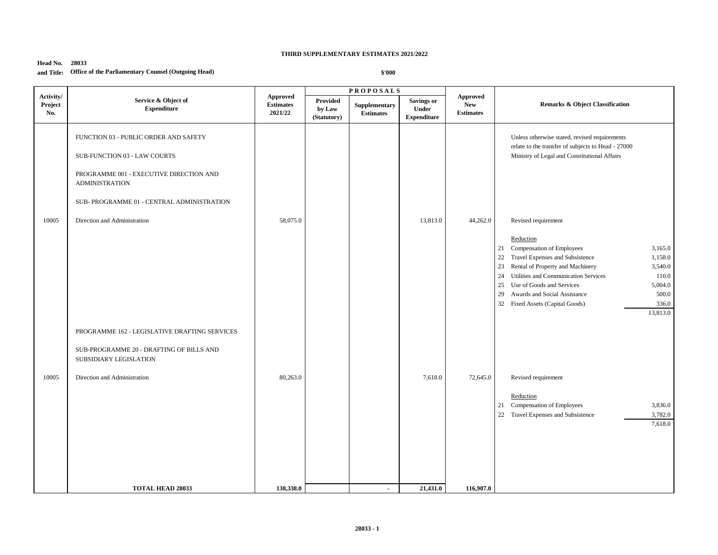#### **Head No. 28033 and Title: Office of the Parliamentary Counsel (Outgoing Head)**

|                             | Service & Object of<br><b>Expenditure</b>                                                                                                                                               | <b>Approved</b><br><b>Estimates</b><br>2021/22 |                                   | <b>PROPOSALS</b>                 |                                                  | <b>Approved</b><br><b>New</b><br><b>Estimates</b> | Remarks & Object Classification                                                                                                                                                                                                                                                                                                                                                                            |  |
|-----------------------------|-----------------------------------------------------------------------------------------------------------------------------------------------------------------------------------------|------------------------------------------------|-----------------------------------|----------------------------------|--------------------------------------------------|---------------------------------------------------|------------------------------------------------------------------------------------------------------------------------------------------------------------------------------------------------------------------------------------------------------------------------------------------------------------------------------------------------------------------------------------------------------------|--|
| Activity/<br>Project<br>No. |                                                                                                                                                                                         |                                                | Provided<br>by Law<br>(Statutory) | Supplementary<br>$\bf Estimates$ | <b>Savings or</b><br>Under<br><b>Expenditure</b> |                                                   |                                                                                                                                                                                                                                                                                                                                                                                                            |  |
|                             | FUNCTION 03 - PUBLIC ORDER AND SAFETY<br>SUB-FUNCTION 03 - LAW COURTS<br>PROGRAMME 001 - EXECUTIVE DIRECTION AND<br><b>ADMINISTRATION</b><br>SUB- PROGRAMME 01 - CENTRAL ADMINISTRATION |                                                |                                   |                                  |                                                  |                                                   | Unless otherwise stated, revised requirements<br>relate to the transfer of subjects to Head - 27000<br>Ministry of Legal and Constitutional Affairs                                                                                                                                                                                                                                                        |  |
| 10005                       | Direction and Administration                                                                                                                                                            | 58,075.0                                       |                                   |                                  | 13,813.0                                         | 44,262.0                                          | Revised requirement<br>Reduction<br>Compensation of Employees<br>3,165.0<br>21<br>$22\,$<br>Travel Expenses and Subsistence<br>1,158.0<br>Rental of Property and Machinery<br>3,540.0<br>23<br>Utilities and Communication Services<br>24<br>110.0<br>Use of Goods and Services<br>25<br>5,004.0<br>Awards and Social Assistance<br>500.0<br>29<br>32<br>Fixed Assets (Capital Goods)<br>336.0<br>13,813.0 |  |
| 10005                       | PROGRAMME 162 - LEGISLATIVE DRAFTING SERVICES<br>SUB-PROGRAMME 20 - DRAFTING OF BILLS AND<br>SUBSIDIARY LEGISLATION<br>Direction and Administration<br><b>TOTAL HEAD 28033</b>          | 80,263.0<br>138,338.0                          |                                   | $\blacksquare$                   | 7,618.0<br>21,431.0                              | 72,645.0<br>116,907.0                             | Revised requirement<br>Reduction<br>Compensation of Employees<br>3,836.0<br>21<br>22 Travel Expenses and Subsistence<br>3,782.0<br>7,618.0                                                                                                                                                                                                                                                                 |  |
|                             |                                                                                                                                                                                         |                                                |                                   |                                  |                                                  |                                                   |                                                                                                                                                                                                                                                                                                                                                                                                            |  |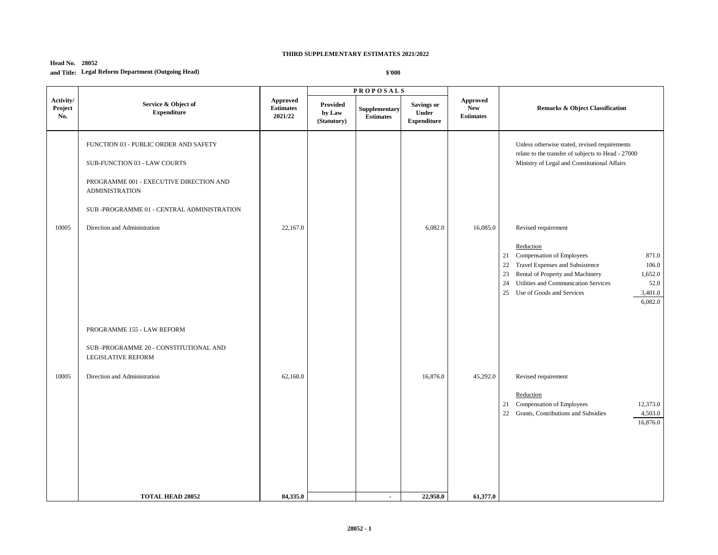#### **Head No. 28052 and Title: Legal Reform Department (Outgoing Head)**

|                             |                                                                                                                                                                                         |                                                | <b>PROPOSALS</b>                         |                                   |                                                  |                                                   |                                                                                                                                                                                                                                                                                                    |
|-----------------------------|-----------------------------------------------------------------------------------------------------------------------------------------------------------------------------------------|------------------------------------------------|------------------------------------------|-----------------------------------|--------------------------------------------------|---------------------------------------------------|----------------------------------------------------------------------------------------------------------------------------------------------------------------------------------------------------------------------------------------------------------------------------------------------------|
| Activity/<br>Project<br>No. | Service & Object of<br><b>Expenditure</b>                                                                                                                                               | <b>Approved</b><br><b>Estimates</b><br>2021/22 | <b>Provided</b><br>by Law<br>(Statutory) | Supplementary<br><b>Estimates</b> | <b>Savings or</b><br>Under<br><b>Expenditure</b> | <b>Approved</b><br><b>New</b><br><b>Estimates</b> | <b>Remarks &amp; Object Classification</b>                                                                                                                                                                                                                                                         |
|                             | FUNCTION 03 - PUBLIC ORDER AND SAFETY<br>SUB-FUNCTION 03 - LAW COURTS<br>PROGRAMME 001 - EXECUTIVE DIRECTION AND<br><b>ADMINISTRATION</b><br>SUB -PROGRAMME 01 - CENTRAL ADMINISTRATION |                                                |                                          |                                   |                                                  |                                                   | Unless otherwise stated, revised requirements<br>relate to the transfer of subjects to Head - 27000<br>Ministry of Legal and Constitutional Affairs                                                                                                                                                |
| 10005                       | Direction and Administration                                                                                                                                                            | 22,167.0                                       |                                          |                                   | 6,082.0                                          | 16,085.0                                          | Revised requirement<br>Reduction<br>Compensation of Employees<br>871.0<br>21<br>Travel Expenses and Subsistence<br>22<br>106.0<br>Rental of Property and Machinery<br>23<br>1,652.0<br>Utilities and Communication Services<br>52.0<br>24<br>25<br>Use of Goods and Services<br>3,401.0<br>6,082.0 |
| 10005                       | PROGRAMME 155 - LAW REFORM<br>SUB -PROGRAMME 20 - CONSTITUTIONAL AND<br><b>LEGISLATIVE REFORM</b><br>Direction and Administration                                                       | 62,168.0                                       |                                          |                                   | 16,876.0                                         | 45,292.0                                          | Revised requirement<br>Reduction<br>Compensation of Employees<br>12,373.0<br>21<br>22<br>Grants, Contributions and Subsidies<br>4,503.0<br>16,876.0                                                                                                                                                |
|                             | <b>TOTAL HEAD 28052</b>                                                                                                                                                                 | 84,335.0                                       |                                          | $\blacksquare$                    | 22,958.0                                         | 61,377.0                                          |                                                                                                                                                                                                                                                                                                    |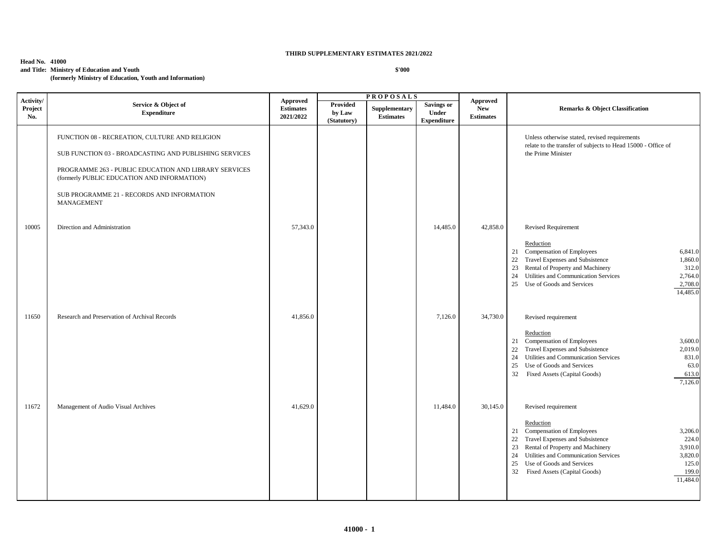#### **Head No. 41000**

**and Title: Ministry of Education and Youth**

**(formerly Ministry of Education, Youth and Information)**

| Activity/      |                                                                                                                                                                                                                                                                                     | <b>PROPOSALS</b>                                 |                                   |                                   |                                           |                                                   |                                                                                                                                                                                                                                                                                                                                                    |
|----------------|-------------------------------------------------------------------------------------------------------------------------------------------------------------------------------------------------------------------------------------------------------------------------------------|--------------------------------------------------|-----------------------------------|-----------------------------------|-------------------------------------------|---------------------------------------------------|----------------------------------------------------------------------------------------------------------------------------------------------------------------------------------------------------------------------------------------------------------------------------------------------------------------------------------------------------|
| Project<br>No. | Service & Object of<br><b>Expenditure</b>                                                                                                                                                                                                                                           | <b>Approved</b><br><b>Estimates</b><br>2021/2022 | Provided<br>by Law<br>(Statutory) | Supplementary<br><b>Estimates</b> | Savings or<br>Under<br><b>Expenditure</b> | <b>Approved</b><br><b>New</b><br><b>Estimates</b> | <b>Remarks &amp; Object Classification</b>                                                                                                                                                                                                                                                                                                         |
|                | FUNCTION 08 - RECREATION, CULTURE AND RELIGION<br>SUB FUNCTION 03 - BROADCASTING AND PUBLISHING SERVICES<br>PROGRAMME 263 - PUBLIC EDUCATION AND LIBRARY SERVICES<br>(formerly PUBLIC EDUCATION AND INFORMATION)<br>SUB PROGRAMME 21 - RECORDS AND INFORMATION<br><b>MANAGEMENT</b> |                                                  |                                   |                                   |                                           |                                                   | Unless otherwise stated, revised requirements<br>relate to the transfer of subjects to Head 15000 - Office of<br>the Prime Minister                                                                                                                                                                                                                |
| 10005          | Direction and Administration                                                                                                                                                                                                                                                        | 57,343.0                                         |                                   |                                   | 14,485.0                                  | 42,858.0                                          | <b>Revised Requirement</b><br>Reduction<br>21 Compensation of Employees<br>6,841.0<br>Travel Expenses and Subsistence<br>1,860.0<br>22<br>Rental of Property and Machinery<br>312.0<br>23<br>Utilities and Communication Services<br>2,764.0<br>24<br>Use of Goods and Services<br>2,708.0<br>25<br>14,485.0                                       |
| 11650          | Research and Preservation of Archival Records                                                                                                                                                                                                                                       | 41,856.0                                         |                                   |                                   | 7,126.0                                   | 34,730.0                                          | Revised requirement<br>Reduction<br>Compensation of Employees<br>3,600.0<br>21<br>Travel Expenses and Subsistence<br>2,019.0<br>22<br>Utilities and Communication Services<br>831.0<br>24<br>25<br>Use of Goods and Services<br>63.0<br>32<br>Fixed Assets (Capital Goods)<br>613.0<br>7,126.0                                                     |
| 11672          | Management of Audio Visual Archives                                                                                                                                                                                                                                                 | 41,629.0                                         |                                   |                                   | 11,484.0                                  | 30,145.0                                          | Revised requirement<br>Reduction<br>21 Compensation of Employees<br>3,206.0<br>Travel Expenses and Subsistence<br>224.0<br>22<br>Rental of Property and Machinery<br>3,910.0<br>23<br>Utilities and Communication Services<br>3,820.0<br>24<br>Use of Goods and Services<br>25<br>125.0<br>32<br>Fixed Assets (Capital Goods)<br>199.0<br>11,484.0 |